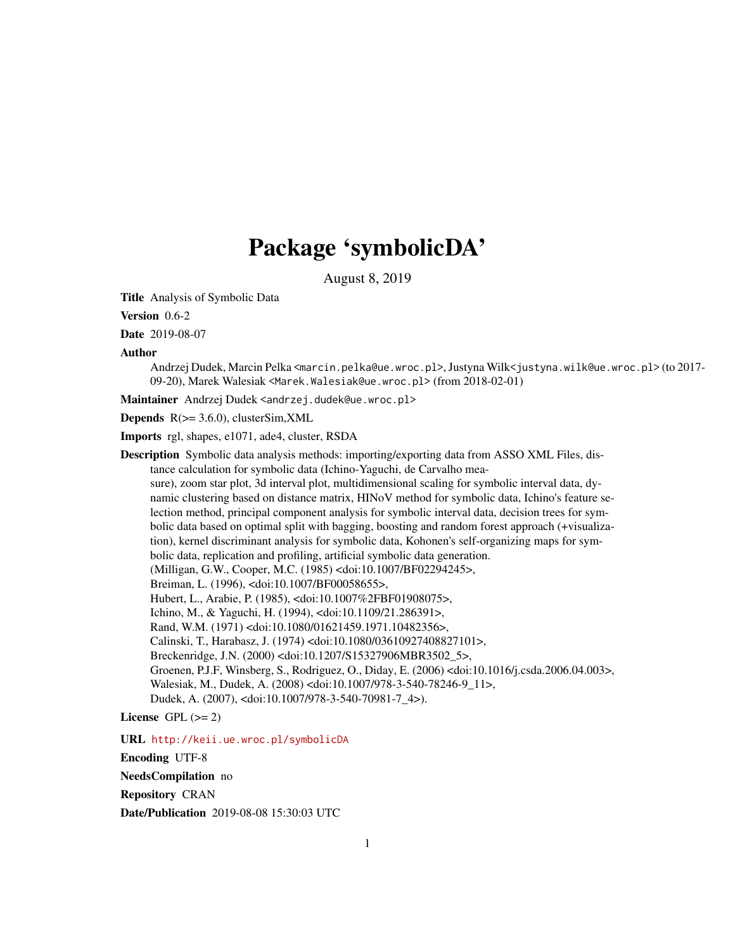# Package 'symbolicDA'

August 8, 2019

<span id="page-0-0"></span>Title Analysis of Symbolic Data

Version 0.6-2

Date 2019-08-07

Author

Andrzej Dudek, Marcin Pelka <marcin.pelka@ue.wroc.pl>, Justyna Wilk<justyna.wilk@ue.wroc.pl> (to 2017- 09-20), Marek Walesiak <Marek.Walesiak@ue.wroc.pl> (from 2018-02-01)

Maintainer Andrzej Dudek <andrzej.dudek@ue.wroc.pl>

**Depends**  $R$ ( $> = 3.6.0$ ), clusterSim, XML

Imports rgl, shapes, e1071, ade4, cluster, RSDA

Description Symbolic data analysis methods: importing/exporting data from ASSO XML Files, distance calculation for symbolic data (Ichino-Yaguchi, de Carvalho measure), zoom star plot, 3d interval plot, multidimensional scaling for symbolic interval data, dynamic clustering based on distance matrix, HINoV method for symbolic data, Ichino's feature selection method, principal component analysis for symbolic interval data, decision trees for symbolic data based on optimal split with bagging, boosting and random forest approach (+visualization), kernel discriminant analysis for symbolic data, Kohonen's self-organizing maps for symbolic data, replication and profiling, artificial symbolic data generation. (Milligan, G.W., Cooper, M.C. (1985) <doi:10.1007/BF02294245>, Breiman, L. (1996), <doi:10.1007/BF00058655>, Hubert, L., Arabie, P. (1985), <doi:10.1007%2FBF01908075>, Ichino, M., & Yaguchi, H. (1994), <doi:10.1109/21.286391>, Rand, W.M. (1971) <doi:10.1080/01621459.1971.10482356>, Calinski, T., Harabasz, J. (1974) <doi:10.1080/03610927408827101>, Breckenridge, J.N. (2000) <doi:10.1207/S15327906MBR3502\_5>, Groenen, P.J.F, Winsberg, S., Rodriguez, O., Diday, E. (2006) <doi:10.1016/j.csda.2006.04.003>, Walesiak, M., Dudek, A. (2008) <doi:10.1007/978-3-540-78246-9\_11>, Dudek, A. (2007), <doi:10.1007/978-3-540-70981-7\_4>).

License GPL  $(>= 2)$ 

URL <http://keii.ue.wroc.pl/symbolicDA>

Encoding UTF-8

NeedsCompilation no

Repository CRAN

Date/Publication 2019-08-08 15:30:03 UTC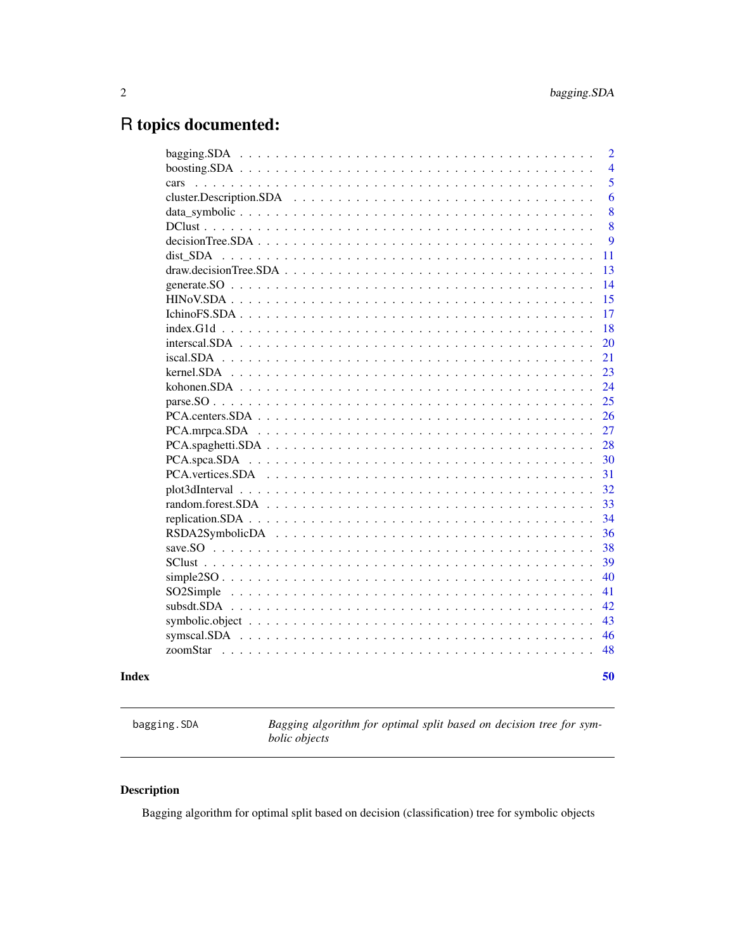# <span id="page-1-0"></span>R topics documented:

|                                                                                                                                   | 50             |
|-----------------------------------------------------------------------------------------------------------------------------------|----------------|
|                                                                                                                                   | 48             |
|                                                                                                                                   | 46             |
|                                                                                                                                   | 43             |
|                                                                                                                                   | 42             |
|                                                                                                                                   | 41             |
|                                                                                                                                   | 40             |
|                                                                                                                                   | 39             |
|                                                                                                                                   | 38             |
|                                                                                                                                   | 36             |
|                                                                                                                                   | 34             |
|                                                                                                                                   | 33             |
|                                                                                                                                   | 32             |
|                                                                                                                                   | 31             |
|                                                                                                                                   | 30             |
| $PCA.\text{spaghetti}.\text{SDA} \dots \dots \dots \dots \dots \dots \dots \dots \dots \dots \dots \dots \dots \dots \dots \dots$ | 28             |
|                                                                                                                                   | 27             |
|                                                                                                                                   | 26             |
|                                                                                                                                   | 25             |
|                                                                                                                                   | 24             |
|                                                                                                                                   | 23             |
|                                                                                                                                   | 21             |
|                                                                                                                                   | 20             |
|                                                                                                                                   | 18             |
|                                                                                                                                   | 17             |
|                                                                                                                                   | 15             |
|                                                                                                                                   | 14             |
|                                                                                                                                   | 13             |
| dist SDA                                                                                                                          | 11             |
| $decisionTree. SDA \dots \dots \dots \dots \dots \dots \dots \dots \dots \dots \dots \dots \dots \dots \dots \dots$               | 9              |
|                                                                                                                                   | 8              |
|                                                                                                                                   | 8              |
|                                                                                                                                   | 5<br>6         |
|                                                                                                                                   | $\overline{4}$ |
|                                                                                                                                   | 2              |
|                                                                                                                                   |                |

<span id="page-1-1"></span>bagging.SDA *Bagging algorithm for optimal split based on decision tree for symbolic objects*

# Description

Bagging algorithm for optimal split based on decision (classification) tree for symbolic objects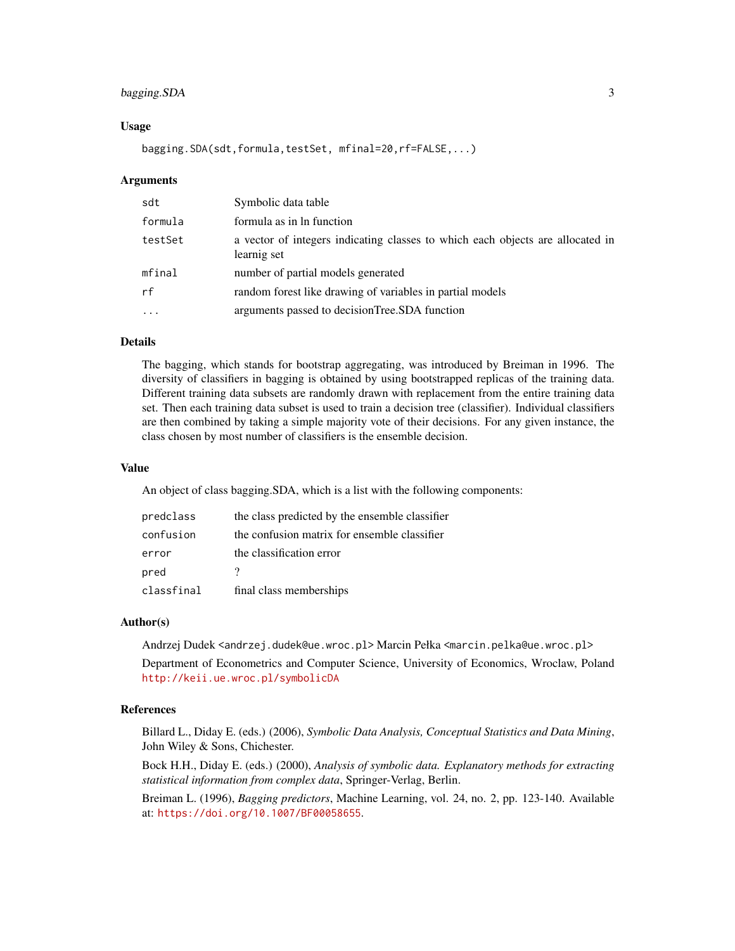# bagging.SDA 3

#### Usage

bagging.SDA(sdt,formula,testSet, mfinal=20,rf=FALSE,...)

#### Arguments

| sdt       | Symbolic data table                                                                           |
|-----------|-----------------------------------------------------------------------------------------------|
| formula   | formula as in ln function                                                                     |
| testSet   | a vector of integers indicating classes to which each objects are allocated in<br>learnig set |
| mfinal    | number of partial models generated                                                            |
| rf        | random forest like drawing of variables in partial models                                     |
| $\ddotsc$ | arguments passed to decision Tree. SDA function                                               |

# Details

The bagging, which stands for bootstrap aggregating, was introduced by Breiman in 1996. The diversity of classifiers in bagging is obtained by using bootstrapped replicas of the training data. Different training data subsets are randomly drawn with replacement from the entire training data set. Then each training data subset is used to train a decision tree (classifier). Individual classifiers are then combined by taking a simple majority vote of their decisions. For any given instance, the class chosen by most number of classifiers is the ensemble decision.

### Value

An object of class bagging.SDA, which is a list with the following components:

| predclass  | the class predicted by the ensemble classifier |
|------------|------------------------------------------------|
| confusion  | the confusion matrix for ensemble classifier   |
| error      | the classification error                       |
| pred       |                                                |
| classfinal | final class memberships                        |

#### Author(s)

Andrzej Dudek <andrzej.dudek@ue.wroc.pl> Marcin Pełka <marcin.pelka@ue.wroc.pl>

Department of Econometrics and Computer Science, University of Economics, Wroclaw, Poland <http://keii.ue.wroc.pl/symbolicDA>

#### References

Billard L., Diday E. (eds.) (2006), *Symbolic Data Analysis, Conceptual Statistics and Data Mining*, John Wiley & Sons, Chichester.

Bock H.H., Diday E. (eds.) (2000), *Analysis of symbolic data. Explanatory methods for extracting statistical information from complex data*, Springer-Verlag, Berlin.

Breiman L. (1996), *Bagging predictors*, Machine Learning, vol. 24, no. 2, pp. 123-140. Available at: <https://doi.org/10.1007/BF00058655>.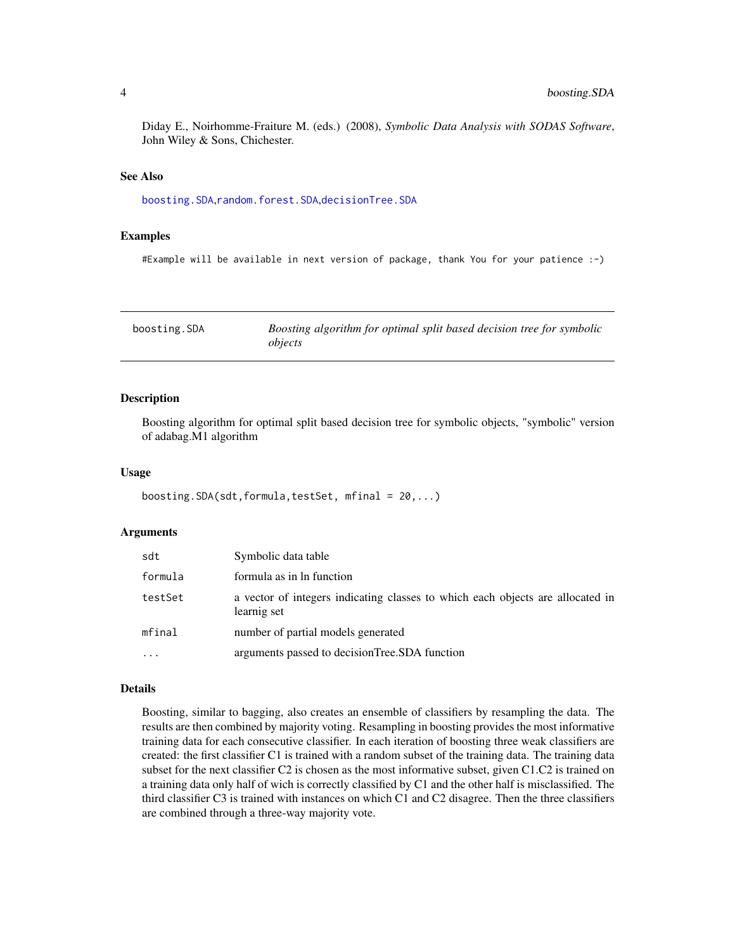<span id="page-3-0"></span>Diday E., Noirhomme-Fraiture M. (eds.) (2008), *Symbolic Data Analysis with SODAS Software*, John Wiley & Sons, Chichester.

#### See Also

[boosting.SDA](#page-3-1),[random.forest.SDA](#page-32-1),[decisionTree.SDA](#page-8-1)

#### Examples

#Example will be available in next version of package, thank You for your patience :-)

<span id="page-3-1"></span>

| boosting.SDA | Boosting algorithm for optimal split based decision tree for symbolic |
|--------------|-----------------------------------------------------------------------|
|              | objects                                                               |

#### Description

Boosting algorithm for optimal split based decision tree for symbolic objects, "symbolic" version of adabag.M1 algorithm

#### Usage

```
boosting.SDA(sdt,formula,testSet, mfinal = 20,...)
```
#### Arguments

| sdt      | Symbolic data table                                                                           |
|----------|-----------------------------------------------------------------------------------------------|
| formula  | formula as in ln function                                                                     |
| testSet  | a vector of integers indicating classes to which each objects are allocated in<br>learnig set |
| mfinal   | number of partial models generated                                                            |
| $\ddots$ | arguments passed to decisionTree.SDA function                                                 |

#### Details

Boosting, similar to bagging, also creates an ensemble of classifiers by resampling the data. The results are then combined by majority voting. Resampling in boosting provides the most informative training data for each consecutive classifier. In each iteration of boosting three weak classifiers are created: the first classifier C1 is trained with a random subset of the training data. The training data subset for the next classifier C2 is chosen as the most informative subset, given C1.C2 is trained on a training data only half of wich is correctly classified by C1 and the other half is misclassified. The third classifier C3 is trained with instances on which C1 and C2 disagree. Then the three classifiers are combined through a three-way majority vote.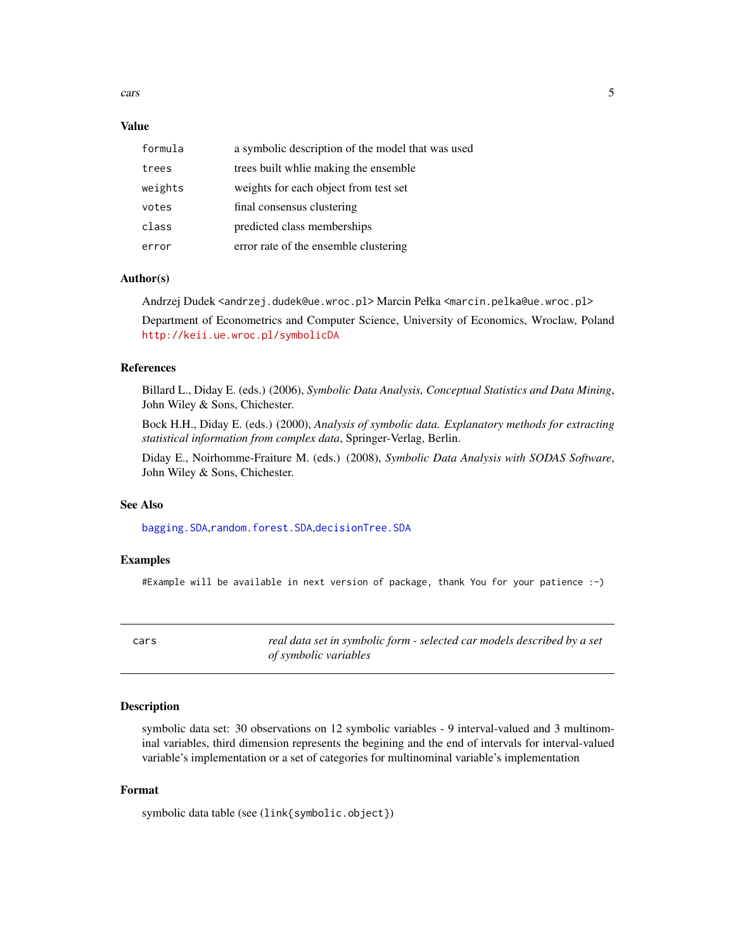<span id="page-4-0"></span>cars 5

#### Value

| formula | a symbolic description of the model that was used |
|---------|---------------------------------------------------|
| trees   | trees built while making the ensemble             |
| weights | weights for each object from test set             |
| votes   | final consensus clustering                        |
| class   | predicted class memberships                       |
| error   | error rate of the ensemble clustering             |

#### Author(s)

Andrzej Dudek <andrzej.dudek@ue.wroc.pl> Marcin Pełka <marcin.pelka@ue.wroc.pl> Department of Econometrics and Computer Science, University of Economics, Wroclaw, Poland <http://keii.ue.wroc.pl/symbolicDA>

#### References

Billard L., Diday E. (eds.) (2006), *Symbolic Data Analysis, Conceptual Statistics and Data Mining*, John Wiley & Sons, Chichester.

Bock H.H., Diday E. (eds.) (2000), *Analysis of symbolic data. Explanatory methods for extracting statistical information from complex data*, Springer-Verlag, Berlin.

Diday E., Noirhomme-Fraiture M. (eds.) (2008), *Symbolic Data Analysis with SODAS Software*, John Wiley & Sons, Chichester.

## See Also

[bagging.SDA](#page-1-1),[random.forest.SDA](#page-32-1),[decisionTree.SDA](#page-8-1)

#### Examples

#Example will be available in next version of package, thank You for your patience :-)

cars *real data set in symbolic form - selected car models described by a set of symbolic variables*

#### Description

symbolic data set: 30 observations on 12 symbolic variables - 9 interval-valued and 3 multinominal variables, third dimension represents the begining and the end of intervals for interval-valued variable's implementation or a set of categories for multinominal variable's implementation

# Format

symbolic data table (see (link{symbolic.object})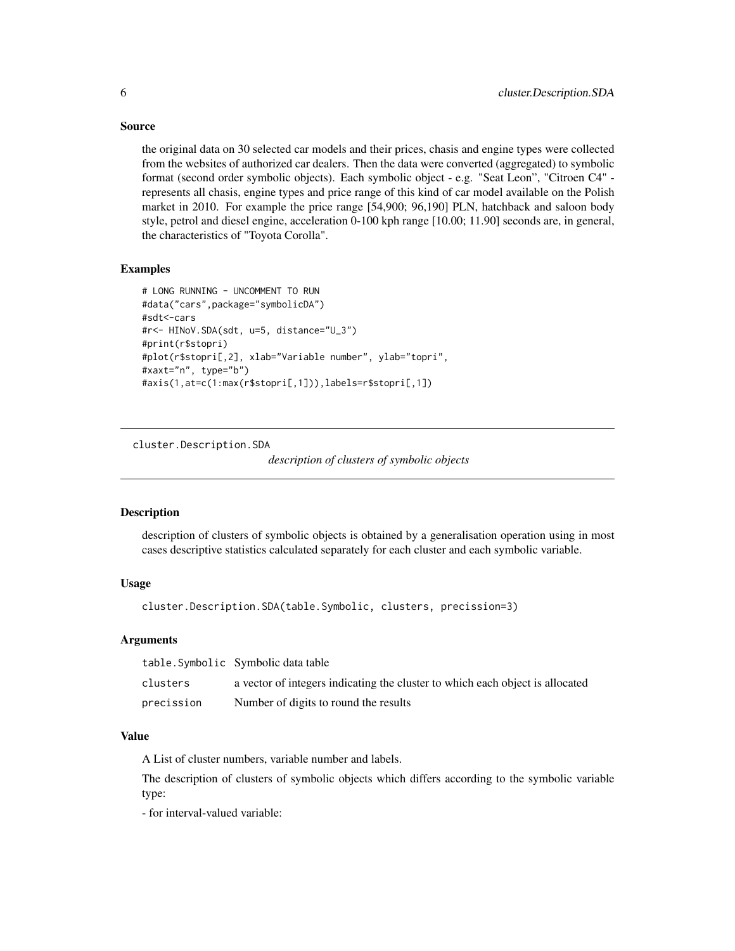#### Source

the original data on 30 selected car models and their prices, chasis and engine types were collected from the websites of authorized car dealers. Then the data were converted (aggregated) to symbolic format (second order symbolic objects). Each symbolic object - e.g. "Seat Leon", "Citroen C4" represents all chasis, engine types and price range of this kind of car model available on the Polish market in 2010. For example the price range [54,900; 96,190] PLN, hatchback and saloon body style, petrol and diesel engine, acceleration 0-100 kph range [10.00; 11.90] seconds are, in general, the characteristics of "Toyota Corolla".

# Examples

```
# LONG RUNNING - UNCOMMENT TO RUN
#data("cars",package="symbolicDA")
#sdt<-cars
#r<- HINoV.SDA(sdt, u=5, distance="U_3")
#print(r$stopri)
#plot(r$stopri[,2], xlab="Variable number", ylab="topri",
#xaxt="n", type="b")
#axis(1,at=c(1:max(r$stopri[,1])),labels=r$stopri[,1])
```
cluster.Description.SDA

*description of clusters of symbolic objects*

#### Description

description of clusters of symbolic objects is obtained by a generalisation operation using in most cases descriptive statistics calculated separately for each cluster and each symbolic variable.

# Usage

```
cluster.Description.SDA(table.Symbolic, clusters, precission=3)
```
# Arguments

|            | table.Symbolic Symbolic data table                                            |
|------------|-------------------------------------------------------------------------------|
| clusters   | a vector of integers indicating the cluster to which each object is allocated |
| precission | Number of digits to round the results                                         |

# Value

A List of cluster numbers, variable number and labels.

The description of clusters of symbolic objects which differs according to the symbolic variable type:

- for interval-valued variable:

<span id="page-5-0"></span>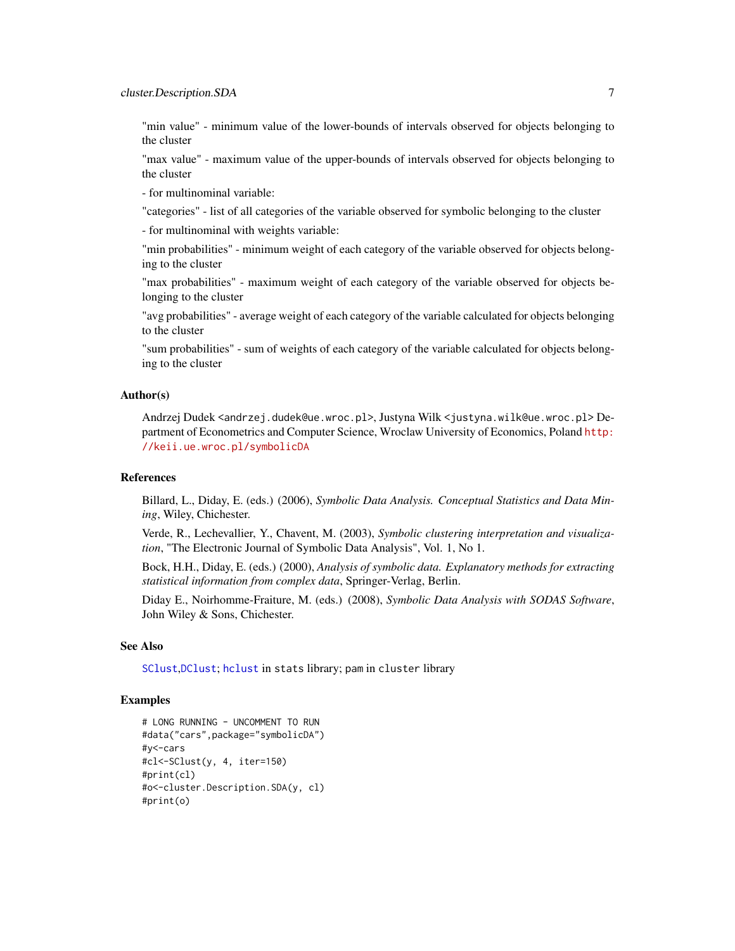<span id="page-6-0"></span>"min value" - minimum value of the lower-bounds of intervals observed for objects belonging to the cluster

"max value" - maximum value of the upper-bounds of intervals observed for objects belonging to the cluster

- for multinominal variable:

"categories" - list of all categories of the variable observed for symbolic belonging to the cluster

- for multinominal with weights variable:

"min probabilities" - minimum weight of each category of the variable observed for objects belonging to the cluster

"max probabilities" - maximum weight of each category of the variable observed for objects belonging to the cluster

"avg probabilities" - average weight of each category of the variable calculated for objects belonging to the cluster

"sum probabilities" - sum of weights of each category of the variable calculated for objects belonging to the cluster

# Author(s)

Andrzej Dudek <andrzej.dudek@ue.wroc.pl>, Justyna Wilk <justyna.wilk@ue.wroc.pl> Department of Econometrics and Computer Science, Wroclaw University of Economics, Poland [http:](http://keii.ue.wroc.pl/symbolicDA) [//keii.ue.wroc.pl/symbolicDA](http://keii.ue.wroc.pl/symbolicDA)

#### References

Billard, L., Diday, E. (eds.) (2006), *Symbolic Data Analysis. Conceptual Statistics and Data Mining*, Wiley, Chichester.

Verde, R., Lechevallier, Y., Chavent, M. (2003), *Symbolic clustering interpretation and visualization*, "The Electronic Journal of Symbolic Data Analysis", Vol. 1, No 1.

Bock, H.H., Diday, E. (eds.) (2000), *Analysis of symbolic data. Explanatory methods for extracting statistical information from complex data*, Springer-Verlag, Berlin.

Diday E., Noirhomme-Fraiture, M. (eds.) (2008), *Symbolic Data Analysis with SODAS Software*, John Wiley & Sons, Chichester.

#### See Also

[SClust](#page-38-1),[DClust](#page-7-1); [hclust](#page-0-0) in stats library; pam in cluster library

# Examples

```
# LONG RUNNING - UNCOMMENT TO RUN
#data("cars",package="symbolicDA")
#y<-cars
#cl<-SClust(y, 4, iter=150)
#print(cl)
#o<-cluster.Description.SDA(y, cl)
#print(o)
```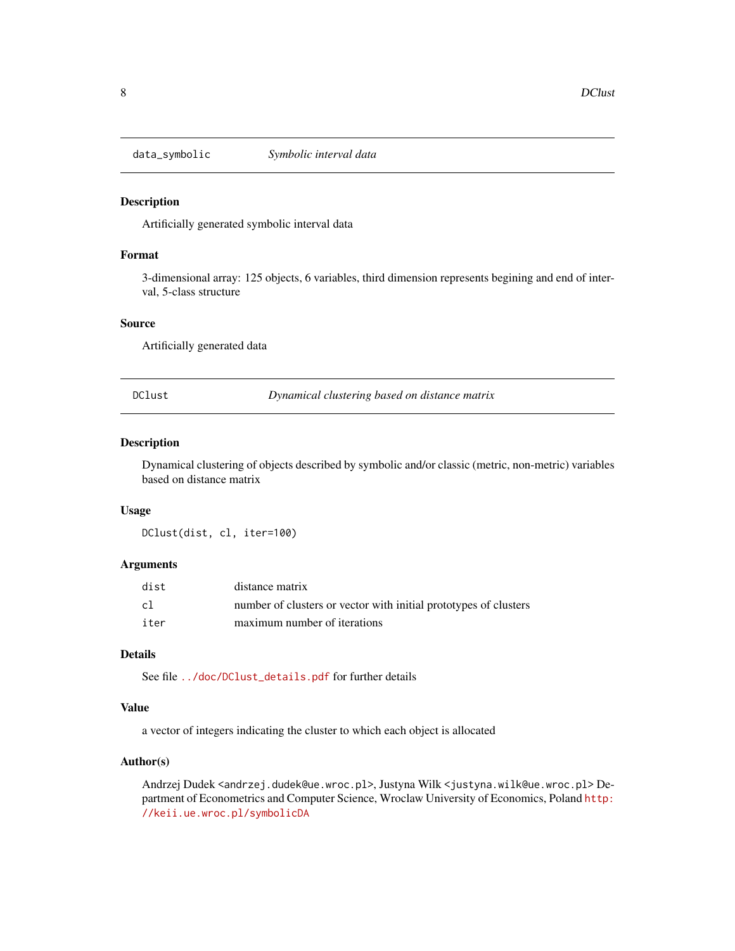<span id="page-7-0"></span>

#### Description

Artificially generated symbolic interval data

#### Format

3-dimensional array: 125 objects, 6 variables, third dimension represents begining and end of interval, 5-class structure

# Source

Artificially generated data

<span id="page-7-1"></span>DClust *Dynamical clustering based on distance matrix*

# Description

Dynamical clustering of objects described by symbolic and/or classic (metric, non-metric) variables based on distance matrix

#### Usage

DClust(dist, cl, iter=100)

## Arguments

| dist         | distance matrix                                                  |
|--------------|------------------------------------------------------------------|
| $\mathsf{c}$ | number of clusters or vector with initial prototypes of clusters |
| iter         | maximum number of iterations                                     |

# Details

See file [../doc/DClust\\_details.pdf](../doc/DClust_details.pdf) for further details

#### Value

a vector of integers indicating the cluster to which each object is allocated

# Author(s)

Andrzej Dudek <andrzej.dudek@ue.wroc.pl>,Justyna Wilk <justyna.wilk@ue.wroc.pl>Department of Econometrics and Computer Science, Wroclaw University of Economics, Poland [http:](http://keii.ue.wroc.pl/symbolicDA) [//keii.ue.wroc.pl/symbolicDA](http://keii.ue.wroc.pl/symbolicDA)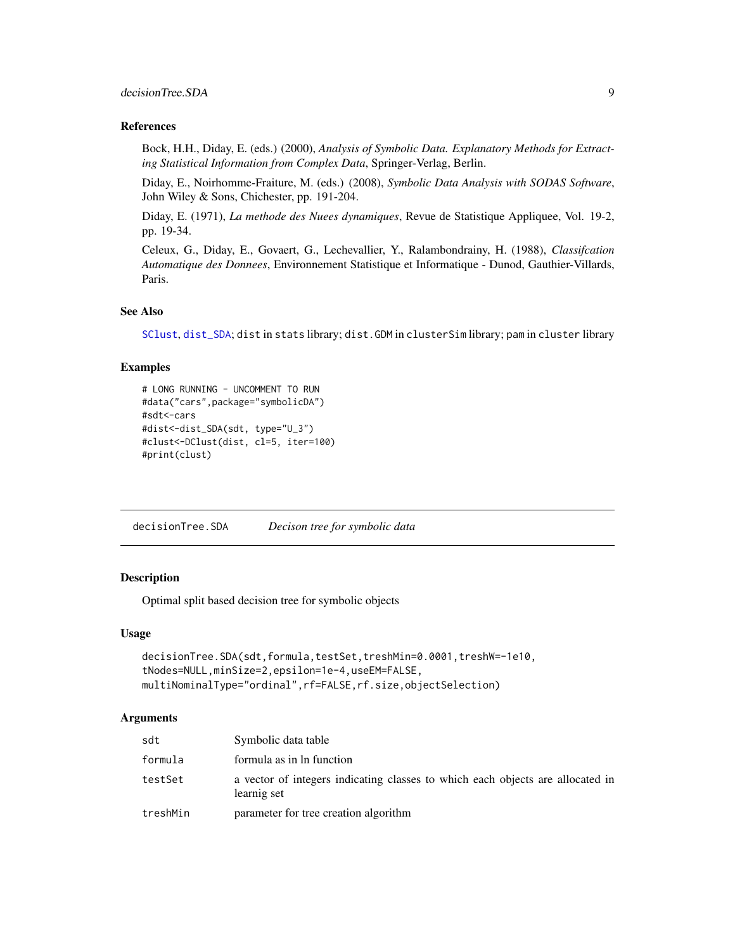# <span id="page-8-0"></span>decisionTree.SDA 9

#### References

Bock, H.H., Diday, E. (eds.) (2000), *Analysis of Symbolic Data. Explanatory Methods for Extracting Statistical Information from Complex Data*, Springer-Verlag, Berlin.

Diday, E., Noirhomme-Fraiture, M. (eds.) (2008), *Symbolic Data Analysis with SODAS Software*, John Wiley & Sons, Chichester, pp. 191-204.

Diday, E. (1971), *La methode des Nuees dynamiques*, Revue de Statistique Appliquee, Vol. 19-2, pp. 19-34.

Celeux, G., Diday, E., Govaert, G., Lechevallier, Y., Ralambondrainy, H. (1988), *Classifcation Automatique des Donnees*, Environnement Statistique et Informatique - Dunod, Gauthier-Villards, Paris.

# See Also

[SClust](#page-38-1), [dist\\_SDA](#page-10-1); dist in stats library; dist.GDM in clusterSim library; pam in cluster library

# Examples

```
# LONG RUNNING - UNCOMMENT TO RUN
#data("cars",package="symbolicDA")
#sdt<-cars
#dist<-dist_SDA(sdt, type="U_3")
#clust<-DClust(dist, cl=5, iter=100)
#print(clust)
```
<span id="page-8-1"></span>decisionTree.SDA *Decison tree for symbolic data*

#### Description

Optimal split based decision tree for symbolic objects

#### Usage

```
decisionTree.SDA(sdt,formula,testSet,treshMin=0.0001,treshW=-1e10,
tNodes=NULL,minSize=2,epsilon=1e-4,useEM=FALSE,
multiNominalType="ordinal",rf=FALSE,rf.size,objectSelection)
```
#### Arguments

| sdt      | Symbolic data table                                                                           |
|----------|-----------------------------------------------------------------------------------------------|
| formula  | formula as in ln function                                                                     |
| testSet  | a vector of integers indicating classes to which each objects are allocated in<br>learnig set |
| treshMin | parameter for tree creation algorithm                                                         |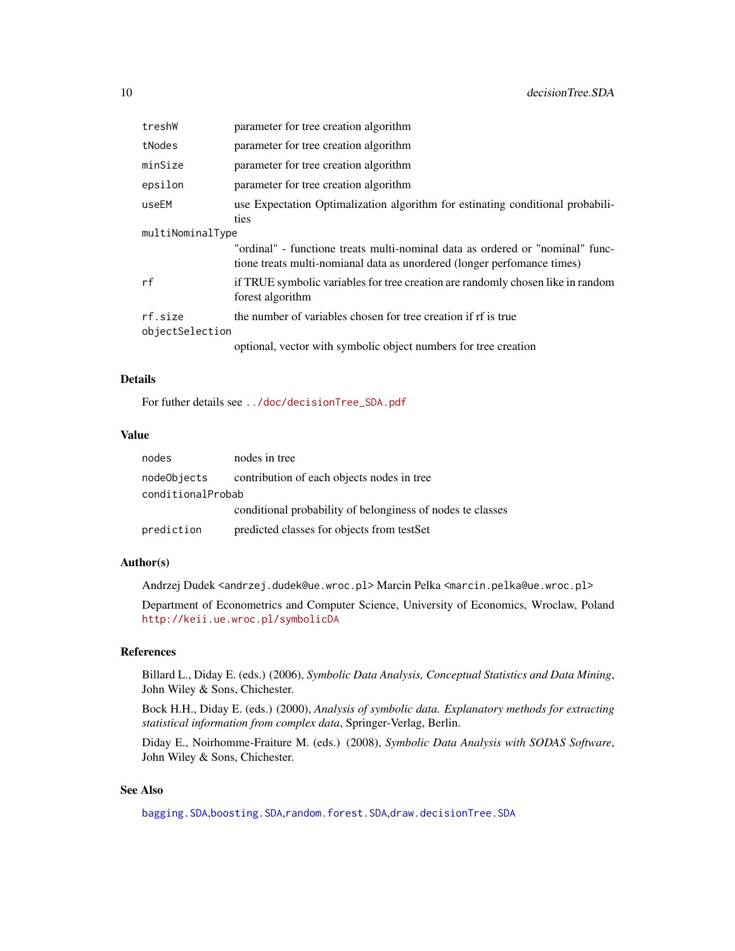<span id="page-9-0"></span>

| treshW                     | parameter for tree creation algorithm                                                                                                                    |
|----------------------------|----------------------------------------------------------------------------------------------------------------------------------------------------------|
| tNodes                     | parameter for tree creation algorithm                                                                                                                    |
| minSize                    | parameter for tree creation algorithm                                                                                                                    |
| epsilon                    | parameter for tree creation algorithm                                                                                                                    |
| useEM                      | use Expectation Optimalization algorithm for estinating conditional probabili-<br>ties                                                                   |
| multiNominalType           |                                                                                                                                                          |
|                            | "ordinal" - functione treats multi-nominal data as ordered or "nominal" func-<br>tione treats multi-nomianal data as unordered (longer perfomance times) |
| rf                         | if TRUE symbolic variables for tree creation are randomly chosen like in random<br>forest algorithm                                                      |
| rf.size<br>objectSelection | the number of variables chosen for tree creation if rf is true                                                                                           |
|                            | optional, vector with symbolic object numbers for tree creation                                                                                          |

#### Details

For futher details see [../doc/decisionTree\\_SDA.pdf](../doc/decisionTree_SDA.pdf)

# Value

| nodes             | nodes in tree                                              |
|-------------------|------------------------------------------------------------|
| nodeObjects       | contribution of each objects nodes in tree                 |
| conditionalProbab |                                                            |
|                   | conditional probability of belonginess of nodes te classes |
| prediction        | predicted classes for objects from testSet                 |

# Author(s)

Andrzej Dudek <andrzej.dudek@ue.wroc.pl> Marcin Pelka <marcin.pelka@ue.wroc.pl>

Department of Econometrics and Computer Science, University of Economics, Wroclaw, Poland <http://keii.ue.wroc.pl/symbolicDA>

### References

Billard L., Diday E. (eds.) (2006), *Symbolic Data Analysis, Conceptual Statistics and Data Mining*, John Wiley & Sons, Chichester.

Bock H.H., Diday E. (eds.) (2000), *Analysis of symbolic data. Explanatory methods for extracting statistical information from complex data*, Springer-Verlag, Berlin.

Diday E., Noirhomme-Fraiture M. (eds.) (2008), *Symbolic Data Analysis with SODAS Software*, John Wiley & Sons, Chichester.

# See Also

[bagging.SDA](#page-1-1),[boosting.SDA](#page-3-1),[random.forest.SDA](#page-32-1),[draw.decisionTree.SDA](#page-12-1)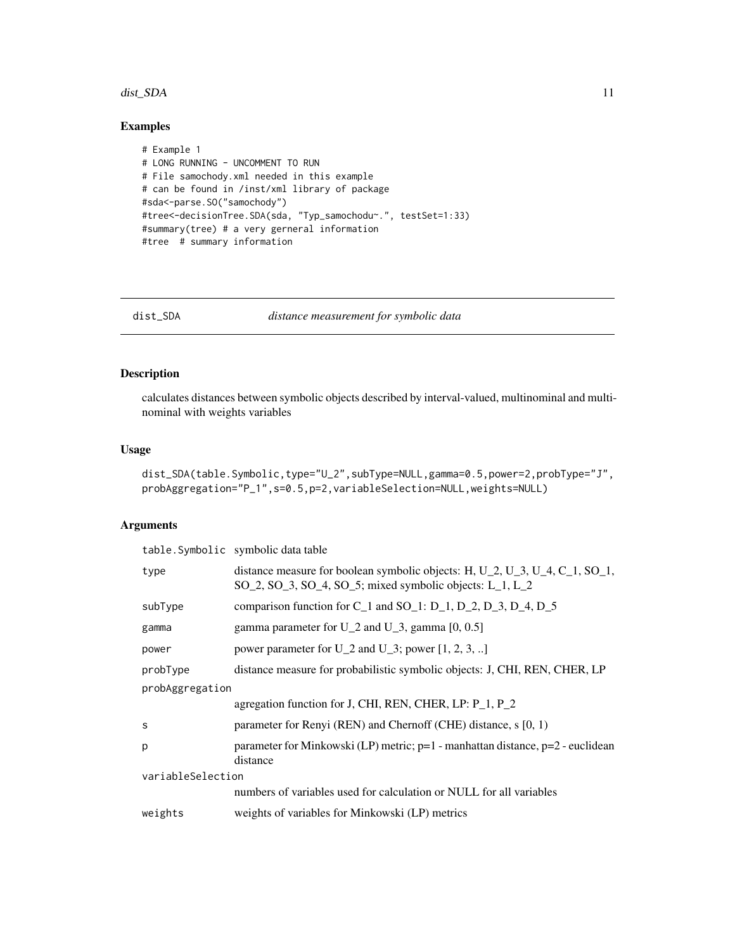#### <span id="page-10-0"></span>dist\_SDA 11

# Examples

```
# Example 1
# LONG RUNNING - UNCOMMENT TO RUN
# File samochody.xml needed in this example
# can be found in /inst/xml library of package
#sda<-parse.SO("samochody")
#tree<-decisionTree.SDA(sda, "Typ_samochodu~.", testSet=1:33)
#summary(tree) # a very gerneral information
#tree # summary information
```
<span id="page-10-1"></span>dist\_SDA *distance measurement for symbolic data*

# Description

calculates distances between symbolic objects described by interval-valued, multinominal and multinominal with weights variables

# Usage

```
dist_SDA(table.Symbolic,type="U_2",subType=NULL,gamma=0.5,power=2,probType="J",
probAggregation="P_1",s=0.5,p=2,variableSelection=NULL,weights=NULL)
```
#### Arguments

|                   | table. Symbolic symbolic data table                                                                                                                                        |  |
|-------------------|----------------------------------------------------------------------------------------------------------------------------------------------------------------------------|--|
| type              | distance measure for boolean symbolic objects: H, U_2, U_3, U_4, C_1, SO_1,<br>$SO_2$ , $SO_3$ , $SO_4$ , $SO_5$ ; mixed symbolic objects: L <sub>1</sub> , L <sub>2</sub> |  |
| subType           | comparison function for $C_1$ and SO <sub>1</sub> : D <sub>1</sub> , D <sub>2</sub> , D <sub>3</sub> , D <sub>4</sub> , D <sub>5</sub>                                     |  |
| gamma             | gamma parameter for $U_2$ and $U_3$ , gamma [0, 0.5]                                                                                                                       |  |
| power             | power parameter for U_2 and U_3; power $[1, 2, 3, \ldots]$                                                                                                                 |  |
| probType          | distance measure for probabilistic symbolic objects: J, CHI, REN, CHER, LP                                                                                                 |  |
| probAggregation   |                                                                                                                                                                            |  |
|                   | agregation function for J, CHI, REN, CHER, LP: P_1, P_2                                                                                                                    |  |
| S                 | parameter for Renyi (REN) and Chernoff (CHE) distance, s [0, 1)                                                                                                            |  |
| p                 | parameter for Minkowski (LP) metric; $p=1$ - manhattan distance, $p=2$ - euclidean<br>distance                                                                             |  |
| variableSelection |                                                                                                                                                                            |  |
|                   | numbers of variables used for calculation or NULL for all variables                                                                                                        |  |
| weights           | weights of variables for Minkowski (LP) metrics                                                                                                                            |  |
|                   |                                                                                                                                                                            |  |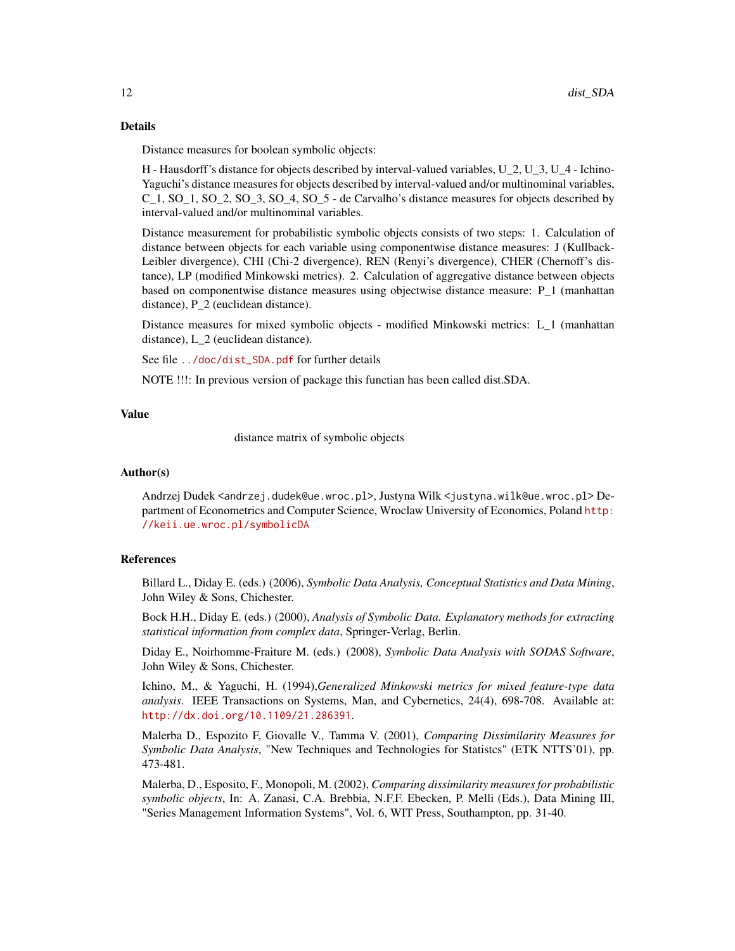#### Details

Distance measures for boolean symbolic objects:

H - Hausdorff's distance for objects described by interval-valued variables, U\_2, U\_3, U\_4 - Ichino-Yaguchi's distance measures for objects described by interval-valued and/or multinominal variables, C\_1, SO\_1, SO\_2, SO\_3, SO\_4, SO\_5 - de Carvalho's distance measures for objects described by interval-valued and/or multinominal variables.

Distance measurement for probabilistic symbolic objects consists of two steps: 1. Calculation of distance between objects for each variable using componentwise distance measures: J (Kullback-Leibler divergence), CHI (Chi-2 divergence), REN (Renyi's divergence), CHER (Chernoff's distance), LP (modified Minkowski metrics). 2. Calculation of aggregative distance between objects based on componentwise distance measures using objectwise distance measure: P\_1 (manhattan distance), P 2 (euclidean distance).

Distance measures for mixed symbolic objects - modified Minkowski metrics: L\_1 (manhattan distance), L\_2 (euclidean distance).

See file [../doc/dist\\_SDA.pdf](../doc/dist_SDA.pdf) for further details

NOTE !!!: In previous version of package this functian has been called dist.SDA.

#### Value

distance matrix of symbolic objects

#### Author(s)

Andrzej Dudek <andrzej.dudek@ue.wroc.pl>, Justyna Wilk <justyna.wilk@ue.wroc.pl> Department of Econometrics and Computer Science, Wroclaw University of Economics, Poland [http:](http://keii.ue.wroc.pl/symbolicDA) [//keii.ue.wroc.pl/symbolicDA](http://keii.ue.wroc.pl/symbolicDA)

#### References

Billard L., Diday E. (eds.) (2006), *Symbolic Data Analysis, Conceptual Statistics and Data Mining*, John Wiley & Sons, Chichester.

Bock H.H., Diday E. (eds.) (2000), *Analysis of Symbolic Data. Explanatory methods for extracting statistical information from complex data*, Springer-Verlag, Berlin.

Diday E., Noirhomme-Fraiture M. (eds.) (2008), *Symbolic Data Analysis with SODAS Software*, John Wiley & Sons, Chichester.

Ichino, M., & Yaguchi, H. (1994),*Generalized Minkowski metrics for mixed feature-type data analysis*. IEEE Transactions on Systems, Man, and Cybernetics, 24(4), 698-708. Available at: <http://dx.doi.org/10.1109/21.286391>.

Malerba D., Espozito F, Giovalle V., Tamma V. (2001), *Comparing Dissimilarity Measures for Symbolic Data Analysis*, "New Techniques and Technologies for Statistcs" (ETK NTTS'01), pp. 473-481.

Malerba, D., Esposito, F., Monopoli, M. (2002), *Comparing dissimilarity measures for probabilistic symbolic objects*, In: A. Zanasi, C.A. Brebbia, N.F.F. Ebecken, P. Melli (Eds.), Data Mining III, "Series Management Information Systems", Vol. 6, WIT Press, Southampton, pp. 31-40.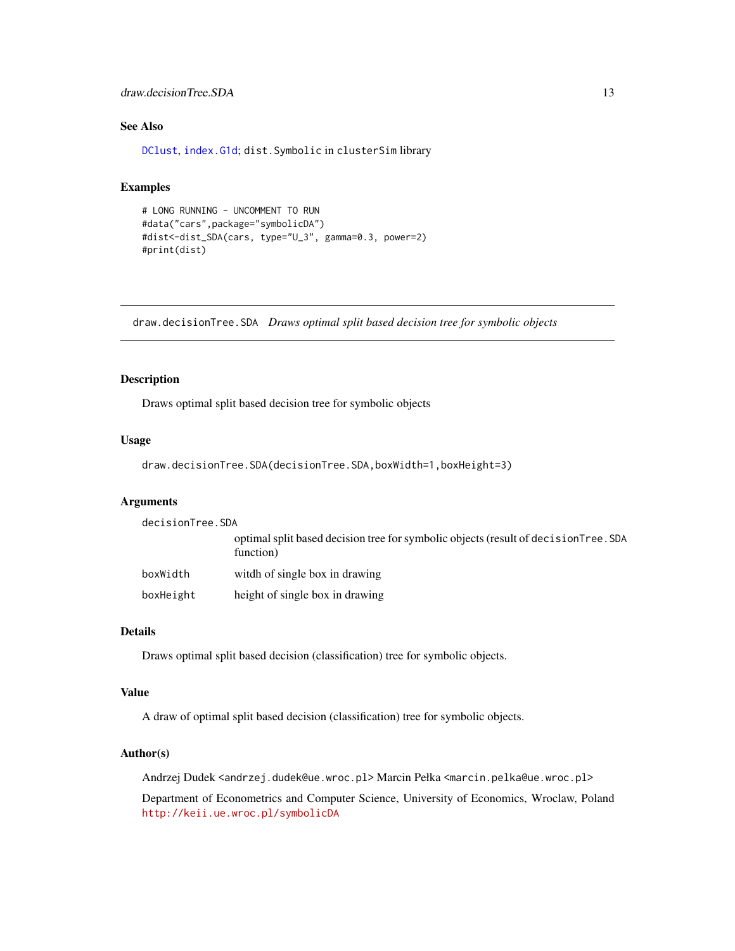# <span id="page-12-0"></span>draw.decisionTree.SDA 13

# See Also

[DClust](#page-7-1), [index.G1d](#page-17-1); dist.Symbolic in clusterSim library

#### Examples

```
# LONG RUNNING - UNCOMMENT TO RUN
#data("cars",package="symbolicDA")
#dist<-dist_SDA(cars, type="U_3", gamma=0.3, power=2)
#print(dist)
```
<span id="page-12-1"></span>draw.decisionTree.SDA *Draws optimal split based decision tree for symbolic objects*

#### Description

Draws optimal split based decision tree for symbolic objects

#### Usage

```
draw.decisionTree.SDA(decisionTree.SDA,boxWidth=1,boxHeight=3)
```
# Arguments

| decisionTree.SDA |                                                                                                   |
|------------------|---------------------------------------------------------------------------------------------------|
|                  | optimal split based decision tree for symbolic objects (result of decision Tree. SDA<br>function) |
| boxWidth         | witch of single box in drawing                                                                    |
| boxHeight        | height of single box in drawing                                                                   |

# Details

Draws optimal split based decision (classification) tree for symbolic objects.

#### Value

A draw of optimal split based decision (classification) tree for symbolic objects.

#### Author(s)

Andrzej Dudek <andrzej.dudek@ue.wroc.pl> Marcin Pełka <marcin.pelka@ue.wroc.pl>

Department of Econometrics and Computer Science, University of Economics, Wroclaw, Poland <http://keii.ue.wroc.pl/symbolicDA>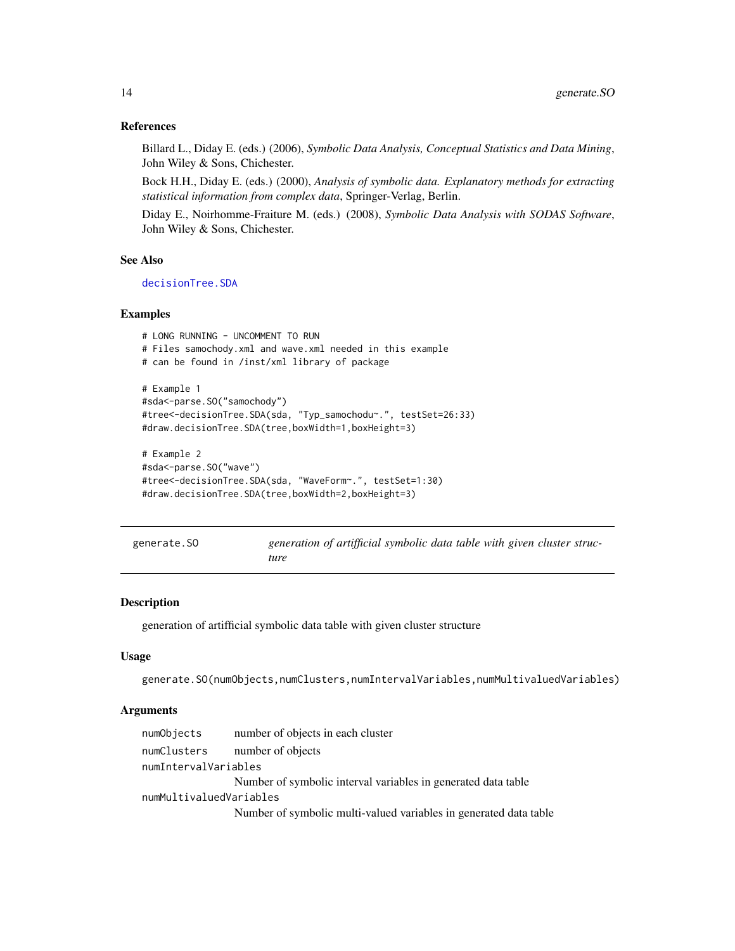#### References

Billard L., Diday E. (eds.) (2006), *Symbolic Data Analysis, Conceptual Statistics and Data Mining*, John Wiley & Sons, Chichester.

Bock H.H., Diday E. (eds.) (2000), *Analysis of symbolic data. Explanatory methods for extracting statistical information from complex data*, Springer-Verlag, Berlin.

Diday E., Noirhomme-Fraiture M. (eds.) (2008), *Symbolic Data Analysis with SODAS Software*, John Wiley & Sons, Chichester.

#### See Also

[decisionTree.SDA](#page-8-1)

# Examples

```
# LONG RUNNING - UNCOMMENT TO RUN
# Files samochody.xml and wave.xml needed in this example
# can be found in /inst/xml library of package
# Example 1
#sda<-parse.SO("samochody")
#tree<-decisionTree.SDA(sda, "Typ_samochodu~.", testSet=26:33)
#draw.decisionTree.SDA(tree,boxWidth=1,boxHeight=3)
# Example 2
#sda<-parse.SO("wave")
```

```
#tree<-decisionTree.SDA(sda, "WaveForm~.", testSet=1:30)
#draw.decisionTree.SDA(tree,boxWidth=2,boxHeight=3)
```
<span id="page-13-1"></span>

| generate.SO | generation of artifficial symbolic data table with given cluster struc- |  |
|-------------|-------------------------------------------------------------------------|--|
|             | ture                                                                    |  |

#### Description

generation of artifficial symbolic data table with given cluster structure

#### Usage

```
generate.SO(numObjects,numClusters,numIntervalVariables,numMultivaluedVariables)
```
#### Arguments

| numObjects              | number of objects in each cluster                                 |
|-------------------------|-------------------------------------------------------------------|
| numClusters             | number of objects                                                 |
| numIntervalVariables    |                                                                   |
|                         | Number of symbolic interval variables in generated data table     |
| numMultivaluedVariables |                                                                   |
|                         | Number of symbolic multi-valued variables in generated data table |

<span id="page-13-0"></span>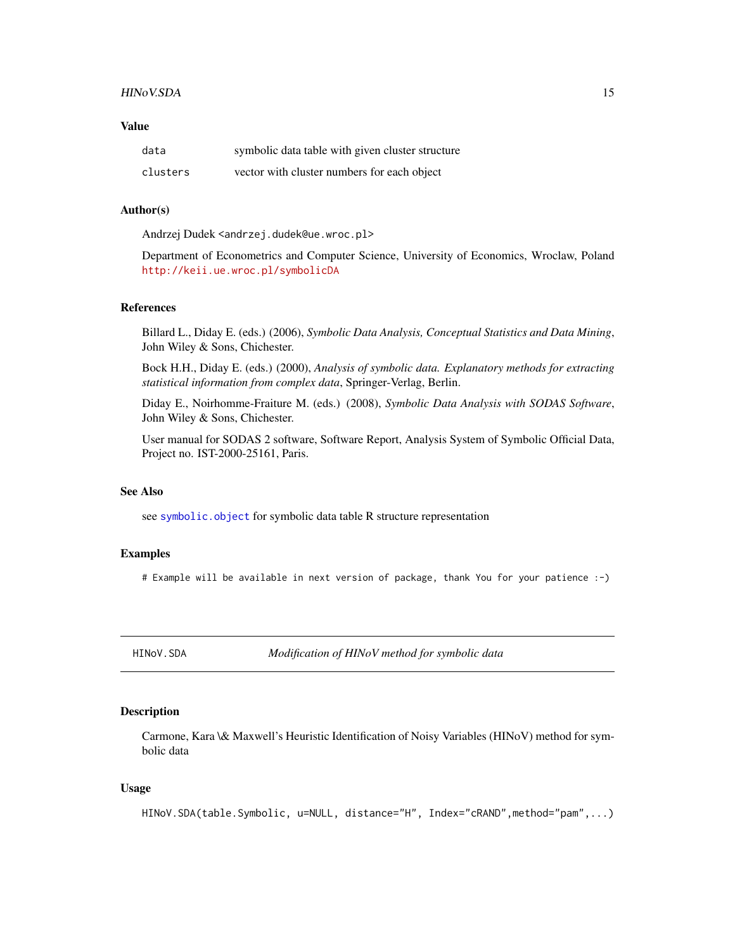#### <span id="page-14-0"></span>HINoV.SDA 15

# Value

| data     | symbolic data table with given cluster structure |
|----------|--------------------------------------------------|
| clusters | vector with cluster numbers for each object      |

#### Author(s)

Andrzej Dudek <andrzej.dudek@ue.wroc.pl>

Department of Econometrics and Computer Science, University of Economics, Wroclaw, Poland <http://keii.ue.wroc.pl/symbolicDA>

#### References

Billard L., Diday E. (eds.) (2006), *Symbolic Data Analysis, Conceptual Statistics and Data Mining*, John Wiley & Sons, Chichester.

Bock H.H., Diday E. (eds.) (2000), *Analysis of symbolic data. Explanatory methods for extracting statistical information from complex data*, Springer-Verlag, Berlin.

Diday E., Noirhomme-Fraiture M. (eds.) (2008), *Symbolic Data Analysis with SODAS Software*, John Wiley & Sons, Chichester.

User manual for SODAS 2 software, Software Report, Analysis System of Symbolic Official Data, Project no. IST-2000-25161, Paris.

#### See Also

see [symbolic.object](#page-42-1) for symbolic data table R structure representation

# Examples

# Example will be available in next version of package, thank You for your patience :-)

<span id="page-14-1"></span>HINoV.SDA *Modification of HINoV method for symbolic data*

#### Description

Carmone, Kara \& Maxwell's Heuristic Identification of Noisy Variables (HINoV) method for symbolic data

#### Usage

HINoV.SDA(table.Symbolic, u=NULL, distance="H", Index="cRAND",method="pam",...)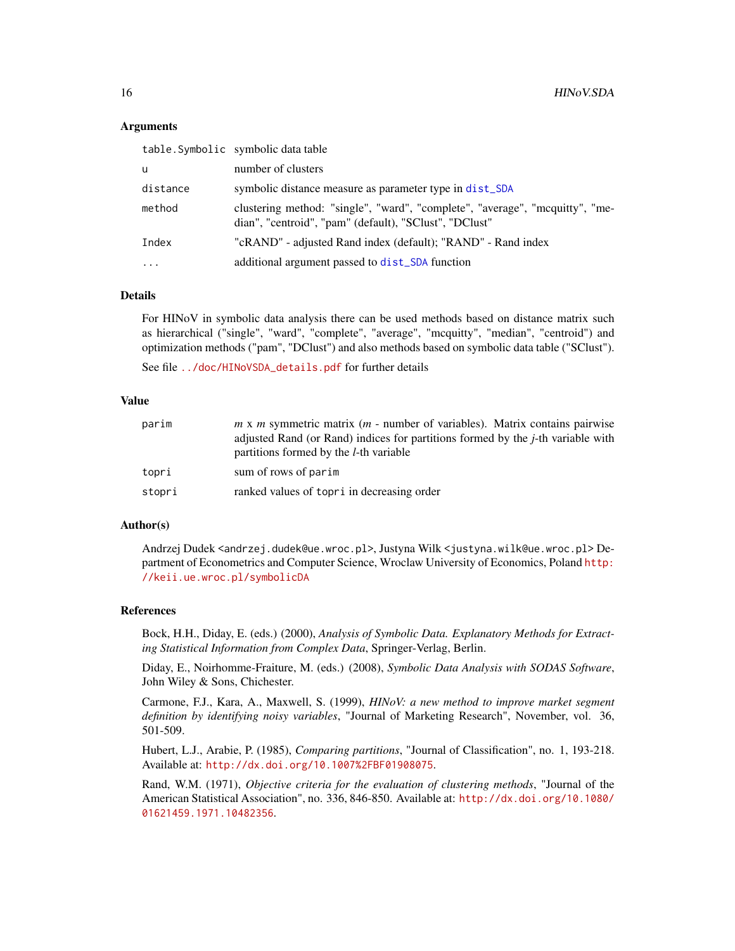#### Arguments

|          | table. Symbolic symbolic data table                                                                                                    |
|----------|----------------------------------------------------------------------------------------------------------------------------------------|
| u        | number of clusters                                                                                                                     |
| distance | symbolic distance measure as parameter type in dist_SDA                                                                                |
| method   | clustering method: "single", "ward", "complete", "average", "moquitty", "me-<br>dian", "centroid", "pam" (default), "SClust", "DClust" |
| Index    | "cRAND" - adjusted Rand index (default); "RAND" - Rand index                                                                           |
| $\cdots$ | additional argument passed to dist_SDA function                                                                                        |
|          |                                                                                                                                        |

# Details

For HINoV in symbolic data analysis there can be used methods based on distance matrix such as hierarchical ("single", "ward", "complete", "average", "mcquitty", "median", "centroid") and optimization methods ("pam", "DClust") and also methods based on symbolic data table ("SClust").

See file [../doc/HINoVSDA\\_details.pdf](../doc/HINoVSDA_details.pdf) for further details

#### Value

| parim  | $m \times m$ symmetric matrix ( $m$ - number of variables). Matrix contains pairwise<br>adjusted Rand (or Rand) indices for partitions formed by the <i>j</i> -th variable with<br>partitions formed by the <i>l</i> -th variable |
|--------|-----------------------------------------------------------------------------------------------------------------------------------------------------------------------------------------------------------------------------------|
| topri  | sum of rows of parim                                                                                                                                                                                                              |
| stopri | ranked values of topri in decreasing order                                                                                                                                                                                        |

#### Author(s)

Andrzej Dudek <andrzej.dudek@ue.wroc.pl>, Justyna Wilk <justyna.wilk@ue.wroc.pl> Department of Econometrics and Computer Science, Wroclaw University of Economics, Poland [http:](http://keii.ue.wroc.pl/symbolicDA) [//keii.ue.wroc.pl/symbolicDA](http://keii.ue.wroc.pl/symbolicDA)

#### References

Bock, H.H., Diday, E. (eds.) (2000), *Analysis of Symbolic Data. Explanatory Methods for Extracting Statistical Information from Complex Data*, Springer-Verlag, Berlin.

Diday, E., Noirhomme-Fraiture, M. (eds.) (2008), *Symbolic Data Analysis with SODAS Software*, John Wiley & Sons, Chichester.

Carmone, F.J., Kara, A., Maxwell, S. (1999), *HINoV: a new method to improve market segment definition by identifying noisy variables*, "Journal of Marketing Research", November, vol. 36, 501-509.

Hubert, L.J., Arabie, P. (1985), *Comparing partitions*, "Journal of Classification", no. 1, 193-218. Available at: <http://dx.doi.org/10.1007%2FBF01908075>.

Rand, W.M. (1971), *Objective criteria for the evaluation of clustering methods*, "Journal of the American Statistical Association", no. 336, 846-850. Available at: [http://dx.doi.org/10.1080/](http://dx.doi.org/10.1080/01621459.1971.10482356) [01621459.1971.10482356](http://dx.doi.org/10.1080/01621459.1971.10482356).

<span id="page-15-0"></span>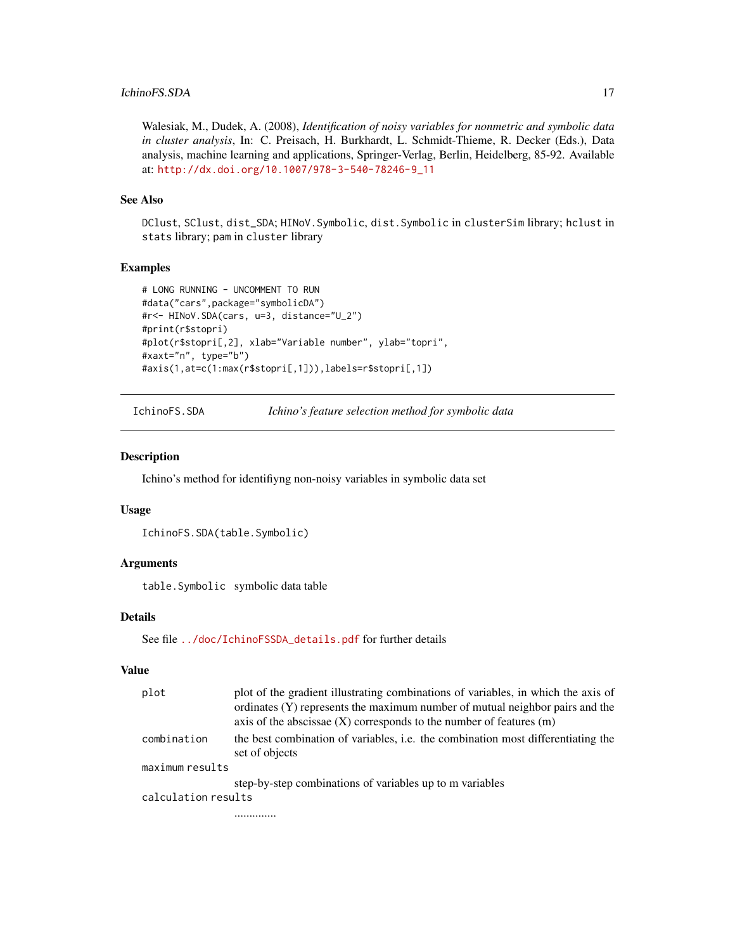# <span id="page-16-0"></span>IchinoFS.SDA 17

Walesiak, M., Dudek, A. (2008), *Identification of noisy variables for nonmetric and symbolic data in cluster analysis*, In: C. Preisach, H. Burkhardt, L. Schmidt-Thieme, R. Decker (Eds.), Data analysis, machine learning and applications, Springer-Verlag, Berlin, Heidelberg, 85-92. Available at: [http://dx.doi.org/10.1007/978-3-540-78246-9\\_11](http://dx.doi.org/10.1007/978-3-540-78246-9_11)

### See Also

DClust, SClust, dist\_SDA; HINoV.Symbolic, dist.Symbolic in clusterSim library; hclust in stats library; pam in cluster library

#### Examples

```
# LONG RUNNING - UNCOMMENT TO RUN
#data("cars",package="symbolicDA")
#r<- HINoV.SDA(cars, u=3, distance="U_2")
#print(r$stopri)
#plot(r$stopri[,2], xlab="Variable number", ylab="topri",
#xaxt="n", type="b")
#axis(1,at=c(1:max(r$stopri[,1])),labels=r$stopri[,1])
```
IchinoFS.SDA *Ichino's feature selection method for symbolic data*

#### Description

Ichino's method for identifiyng non-noisy variables in symbolic data set

#### Usage

```
IchinoFS.SDA(table.Symbolic)
```
### Arguments

table.Symbolic symbolic data table

#### Details

See file [../doc/IchinoFSSDA\\_details.pdf](../doc/IchinoFSSDA_details.pdf) for further details

#### Value

| plot                | plot of the gradient illustrating combinations of variables, in which the axis of                  |
|---------------------|----------------------------------------------------------------------------------------------------|
|                     | ordinates (Y) represents the maximum number of mutual neighbor pairs and the                       |
|                     | axis of the abscissae $(X)$ corresponds to the number of features $(m)$                            |
| combination         | the best combination of variables, i.e. the combination most differentiating the<br>set of objects |
| maximum results     |                                                                                                    |
|                     | step-by-step combinations of variables up to m variables                                           |
| calculation results |                                                                                                    |
|                     |                                                                                                    |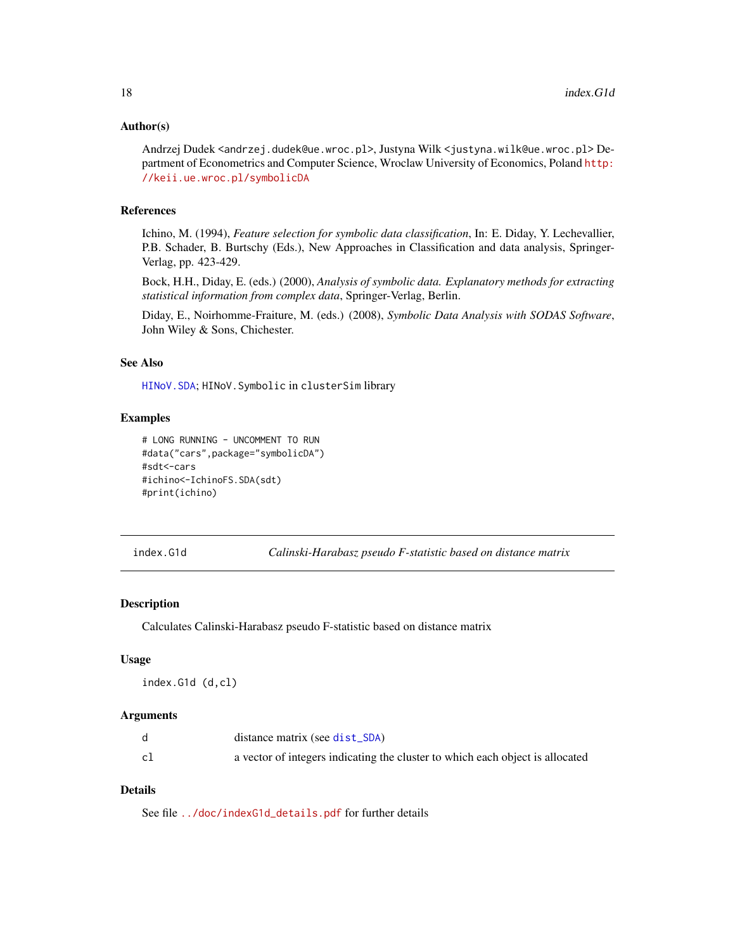#### <span id="page-17-0"></span>Author(s)

Andrzej Dudek <andrzej.dudek@ue.wroc.pl>, Justyna Wilk <justyna.wilk@ue.wroc.pl> Department of Econometrics and Computer Science, Wroclaw University of Economics, Poland [http:](http://keii.ue.wroc.pl/symbolicDA) [//keii.ue.wroc.pl/symbolicDA](http://keii.ue.wroc.pl/symbolicDA)

# References

Ichino, M. (1994), *Feature selection for symbolic data classification*, In: E. Diday, Y. Lechevallier, P.B. Schader, B. Burtschy (Eds.), New Approaches in Classification and data analysis, Springer-Verlag, pp. 423-429.

Bock, H.H., Diday, E. (eds.) (2000), *Analysis of symbolic data. Explanatory methods for extracting statistical information from complex data*, Springer-Verlag, Berlin.

Diday, E., Noirhomme-Fraiture, M. (eds.) (2008), *Symbolic Data Analysis with SODAS Software*, John Wiley & Sons, Chichester.

# See Also

[HINoV.SDA](#page-14-1); HINoV.Symbolic in clusterSim library

#### Examples

```
# LONG RUNNING - UNCOMMENT TO RUN
#data("cars",package="symbolicDA")
#sdt<-cars
#ichino<-IchinoFS.SDA(sdt)
#print(ichino)
```
<span id="page-17-1"></span>index.G1d *Calinski-Harabasz pseudo F-statistic based on distance matrix*

#### Description

Calculates Calinski-Harabasz pseudo F-statistic based on distance matrix

#### Usage

index.G1d (d,cl)

#### Arguments

|    | distance matrix (see dist_SDA)                                                |
|----|-------------------------------------------------------------------------------|
| c1 | a vector of integers indicating the cluster to which each object is allocated |

# Details

See file [../doc/indexG1d\\_details.pdf](../doc/indexG1d_details.pdf) for further details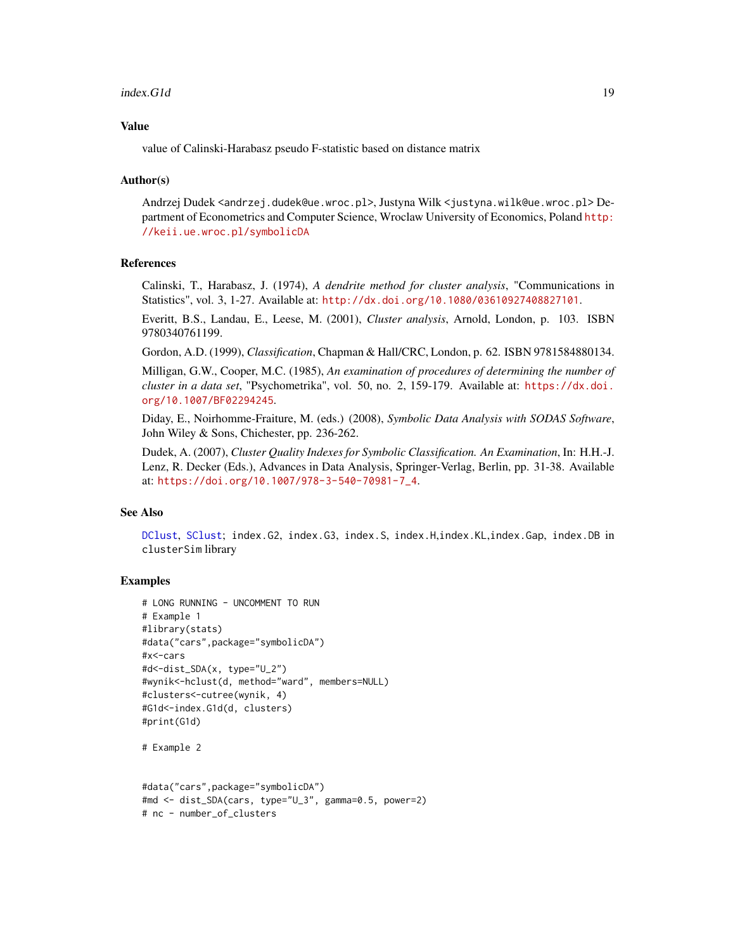#### <span id="page-18-0"></span> $index.G1d$  19

#### Value

value of Calinski-Harabasz pseudo F-statistic based on distance matrix

#### Author(s)

Andrzej Dudek <andrzej.dudek@ue.wroc.pl>, Justyna Wilk <justyna.wilk@ue.wroc.pl> Department of Econometrics and Computer Science, Wroclaw University of Economics, Poland [http:](http://keii.ue.wroc.pl/symbolicDA) [//keii.ue.wroc.pl/symbolicDA](http://keii.ue.wroc.pl/symbolicDA)

# References

Calinski, T., Harabasz, J. (1974), *A dendrite method for cluster analysis*, "Communications in Statistics", vol. 3, 1-27. Available at: <http://dx.doi.org/10.1080/03610927408827101>.

Everitt, B.S., Landau, E., Leese, M. (2001), *Cluster analysis*, Arnold, London, p. 103. ISBN 9780340761199.

Gordon, A.D. (1999), *Classification*, Chapman & Hall/CRC, London, p. 62. ISBN 9781584880134.

Milligan, G.W., Cooper, M.C. (1985), *An examination of procedures of determining the number of cluster in a data set*, "Psychometrika", vol. 50, no. 2, 159-179. Available at: [https://dx.doi.](https://dx.doi.org/10.1007/BF02294245) [org/10.1007/BF02294245](https://dx.doi.org/10.1007/BF02294245).

Diday, E., Noirhomme-Fraiture, M. (eds.) (2008), *Symbolic Data Analysis with SODAS Software*, John Wiley & Sons, Chichester, pp. 236-262.

Dudek, A. (2007), *Cluster Quality Indexes for Symbolic Classification. An Examination*, In: H.H.-J. Lenz, R. Decker (Eds.), Advances in Data Analysis, Springer-Verlag, Berlin, pp. 31-38. Available at: [https://doi.org/10.1007/978-3-540-70981-7\\_4](https://doi.org/10.1007/978-3-540-70981-7_4).

#### See Also

[DClust](#page-7-1), [SClust](#page-38-1); index.G2, index.G3, index.S, index.H,index.KL,index.Gap, index.DB in clusterSim library

# Examples

```
# LONG RUNNING - UNCOMMENT TO RUN
# Example 1
#library(stats)
#data("cars",package="symbolicDA")
#x<-cars
#d<-dist_SDA(x, type="U_2")
#wynik<-hclust(d, method="ward", members=NULL)
#clusters<-cutree(wynik, 4)
#G1d<-index.G1d(d, clusters)
#print(G1d)
```
# Example 2

```
#data("cars",package="symbolicDA")
#md <- dist_SDA(cars, type="U_3", gamma=0.5, power=2)
# nc - number_of_clusters
```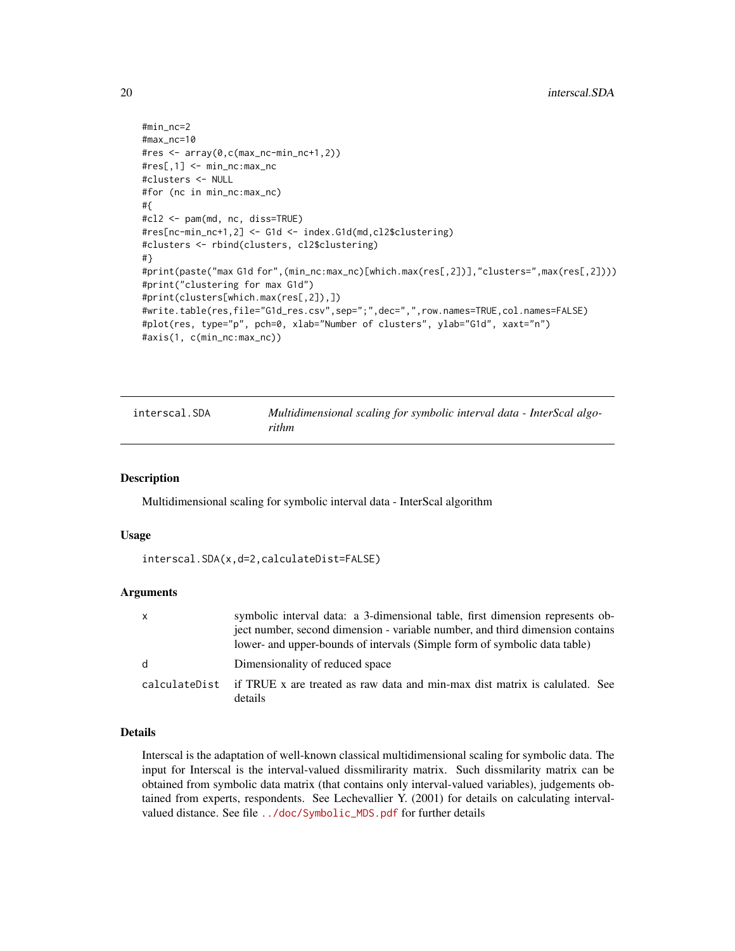```
#min_nc=2
#max_nc=10
#res <- array(0,c(max_nc-min_nc+1,2))
#res[,1] <- min_nc:max_nc
#clusters <- NULL
#for (nc in min_nc:max_nc)
#{
#cl2 <- pam(md, nc, diss=TRUE)
#res[nc-min_nc+1,2] <- G1d <- index.G1d(md,cl2$clustering)
#clusters <- rbind(clusters, cl2$clustering)
#}
#print(paste("max G1d for",(min_nc:max_nc)[which.max(res[,2])],"clusters=",max(res[,2])))
#print("clustering for max G1d")
#print(clusters[which.max(res[,2]),])
#write.table(res,file="G1d_res.csv",sep=";",dec=",",row.names=TRUE,col.names=FALSE)
#plot(res, type="p", pch=0, xlab="Number of clusters", ylab="G1d", xaxt="n")
#axis(1, c(min_nc:max_nc))
```
<span id="page-19-1"></span>

| interscal.SDA | Multidimensional scaling for symbolic interval data - InterScal algo- |
|---------------|-----------------------------------------------------------------------|
|               | rithm                                                                 |

#### **Description**

Multidimensional scaling for symbolic interval data - InterScal algorithm

#### Usage

```
interscal.SDA(x,d=2,calculateDist=FALSE)
```
#### Arguments

| X | symbolic interval data: a 3-dimensional table, first dimension represents ob-                        |
|---|------------------------------------------------------------------------------------------------------|
|   | ject number, second dimension - variable number, and third dimension contains                        |
|   | lower- and upper-bounds of intervals (Simple form of symbolic data table)                            |
| d | Dimensionality of reduced space                                                                      |
|   | calculateDist if TRUE x are treated as raw data and min-max dist matrix is calulated. See<br>details |

# Details

Interscal is the adaptation of well-known classical multidimensional scaling for symbolic data. The input for Interscal is the interval-valued dissmilirarity matrix. Such dissmilarity matrix can be obtained from symbolic data matrix (that contains only interval-valued variables), judgements obtained from experts, respondents. See Lechevallier Y. (2001) for details on calculating intervalvalued distance. See file [../doc/Symbolic\\_MDS.pdf](../doc/Symbolic_MDS.pdf) for further details

<span id="page-19-0"></span>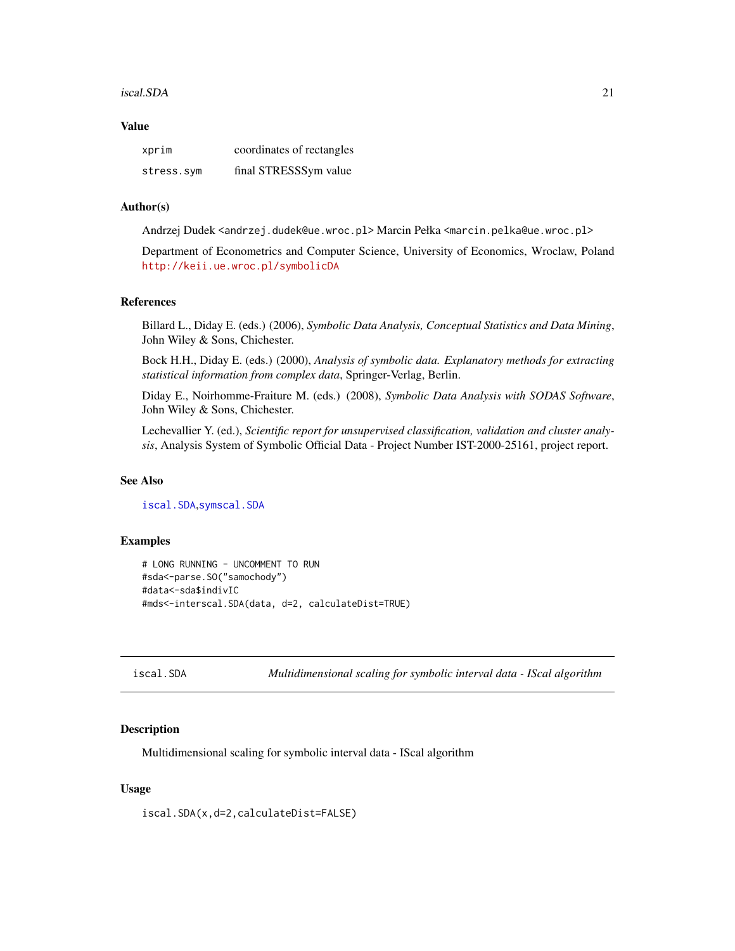#### <span id="page-20-0"></span>iscal.SDA 21

#### Value

| xprim      | coordinates of rectangles |
|------------|---------------------------|
| stress.sym | final STRESSSym value     |

#### Author(s)

Andrzej Dudek <andrzej.dudek@ue.wroc.pl> Marcin Pełka <marcin.pelka@ue.wroc.pl>

Department of Econometrics and Computer Science, University of Economics, Wroclaw, Poland <http://keii.ue.wroc.pl/symbolicDA>

#### References

Billard L., Diday E. (eds.) (2006), *Symbolic Data Analysis, Conceptual Statistics and Data Mining*, John Wiley & Sons, Chichester.

Bock H.H., Diday E. (eds.) (2000), *Analysis of symbolic data. Explanatory methods for extracting statistical information from complex data*, Springer-Verlag, Berlin.

Diday E., Noirhomme-Fraiture M. (eds.) (2008), *Symbolic Data Analysis with SODAS Software*, John Wiley & Sons, Chichester.

Lechevallier Y. (ed.), *Scientific report for unsupervised classification, validation and cluster analysis*, Analysis System of Symbolic Official Data - Project Number IST-2000-25161, project report.

#### See Also

[iscal.SDA](#page-20-1),[symscal.SDA](#page-45-1)

# Examples

```
# LONG RUNNING - UNCOMMENT TO RUN
#sda<-parse.SO("samochody")
#data<-sda$indivIC
#mds<-interscal.SDA(data, d=2, calculateDist=TRUE)
```
<span id="page-20-1"></span>iscal.SDA *Multidimensional scaling for symbolic interval data - IScal algorithm*

#### **Description**

Multidimensional scaling for symbolic interval data - IScal algorithm

#### Usage

iscal.SDA(x,d=2,calculateDist=FALSE)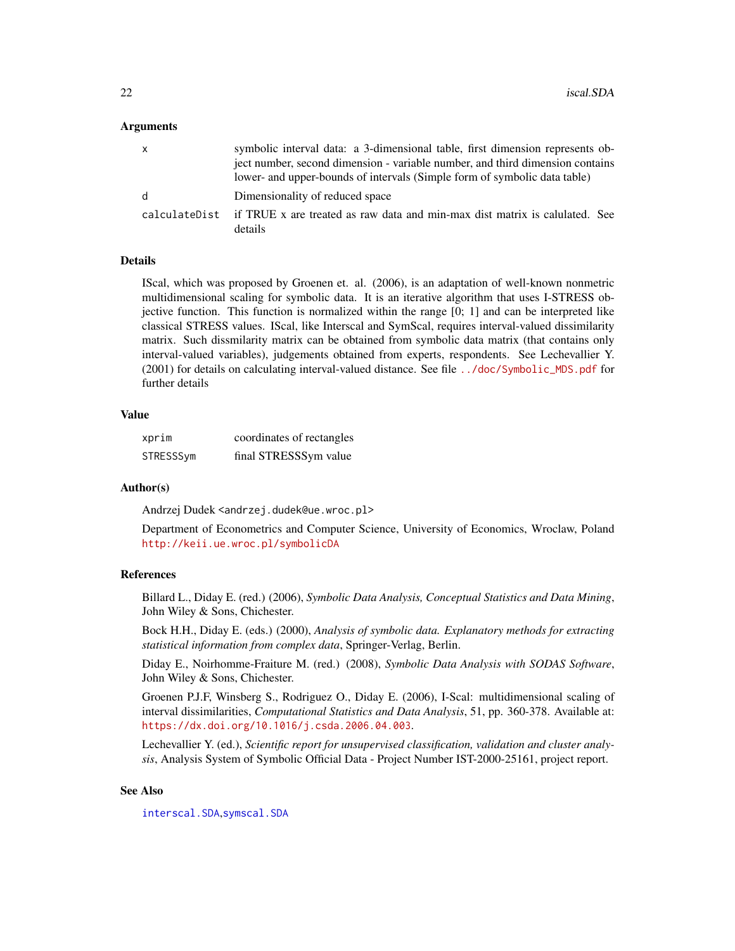#### <span id="page-21-0"></span>Arguments

| x | symbolic interval data: a 3-dimensional table, first dimension represents ob-<br>ject number, second dimension - variable number, and third dimension contains<br>lower- and upper-bounds of intervals (Simple form of symbolic data table) |
|---|---------------------------------------------------------------------------------------------------------------------------------------------------------------------------------------------------------------------------------------------|
| d | Dimensionality of reduced space                                                                                                                                                                                                             |
|   | calculateDist if TRUE x are treated as raw data and min-max dist matrix is calulated. See<br>details                                                                                                                                        |

#### Details

IScal, which was proposed by Groenen et. al. (2006), is an adaptation of well-known nonmetric multidimensional scaling for symbolic data. It is an iterative algorithm that uses I-STRESS objective function. This function is normalized within the range [0; 1] and can be interpreted like classical STRESS values. IScal, like Interscal and SymScal, requires interval-valued dissimilarity matrix. Such dissmilarity matrix can be obtained from symbolic data matrix (that contains only interval-valued variables), judgements obtained from experts, respondents. See Lechevallier Y. (2001) for details on calculating interval-valued distance. See file [../doc/Symbolic\\_MDS.pdf](../doc/Symbolic_MDS.pdf) for further details

#### Value

| xprim     | coordinates of rectangles |
|-----------|---------------------------|
| STRESSSym | final STRESSSym value     |

#### Author(s)

Andrzej Dudek <andrzej.dudek@ue.wroc.pl>

Department of Econometrics and Computer Science, University of Economics, Wroclaw, Poland <http://keii.ue.wroc.pl/symbolicDA>

#### References

Billard L., Diday E. (red.) (2006), *Symbolic Data Analysis, Conceptual Statistics and Data Mining*, John Wiley & Sons, Chichester.

Bock H.H., Diday E. (eds.) (2000), *Analysis of symbolic data. Explanatory methods for extracting statistical information from complex data*, Springer-Verlag, Berlin.

Diday E., Noirhomme-Fraiture M. (red.) (2008), *Symbolic Data Analysis with SODAS Software*, John Wiley & Sons, Chichester.

Groenen P.J.F, Winsberg S., Rodriguez O., Diday E. (2006), I-Scal: multidimensional scaling of interval dissimilarities, *Computational Statistics and Data Analysis*, 51, pp. 360-378. Available at: <https://dx.doi.org/10.1016/j.csda.2006.04.003>.

Lechevallier Y. (ed.), *Scientific report for unsupervised classification, validation and cluster analysis*, Analysis System of Symbolic Official Data - Project Number IST-2000-25161, project report.

# See Also

[interscal.SDA](#page-19-1),[symscal.SDA](#page-45-1)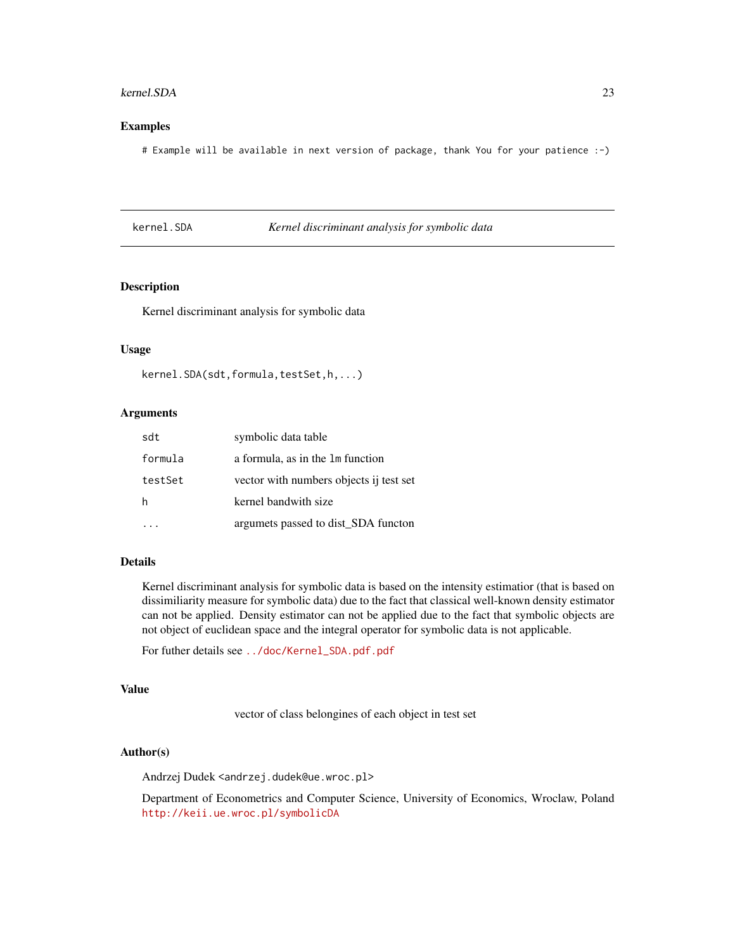#### <span id="page-22-0"></span>kernel.SDA 23

#### Examples

# Example will be available in next version of package, thank You for your patience :-)

#### kernel.SDA *Kernel discriminant analysis for symbolic data*

# Description

Kernel discriminant analysis for symbolic data

# Usage

```
kernel.SDA(sdt,formula,testSet,h,...)
```
# Arguments

| sdt     | symbolic data table                     |
|---------|-----------------------------------------|
| formula | a formula, as in the 1m function        |
| testSet | vector with numbers objects ij test set |
| h       | kernel bandwith size                    |
|         | argumets passed to dist_SDA functon     |

# Details

Kernel discriminant analysis for symbolic data is based on the intensity estimatior (that is based on dissimiliarity measure for symbolic data) due to the fact that classical well-known density estimator can not be applied. Density estimator can not be applied due to the fact that symbolic objects are not object of euclidean space and the integral operator for symbolic data is not applicable.

For futher details see [../doc/Kernel\\_SDA.pdf.pdf](../doc/Kernel_SDA.pdf.pdf)

#### Value

vector of class belongines of each object in test set

# Author(s)

Andrzej Dudek <andrzej.dudek@ue.wroc.pl>

Department of Econometrics and Computer Science, University of Economics, Wroclaw, Poland <http://keii.ue.wroc.pl/symbolicDA>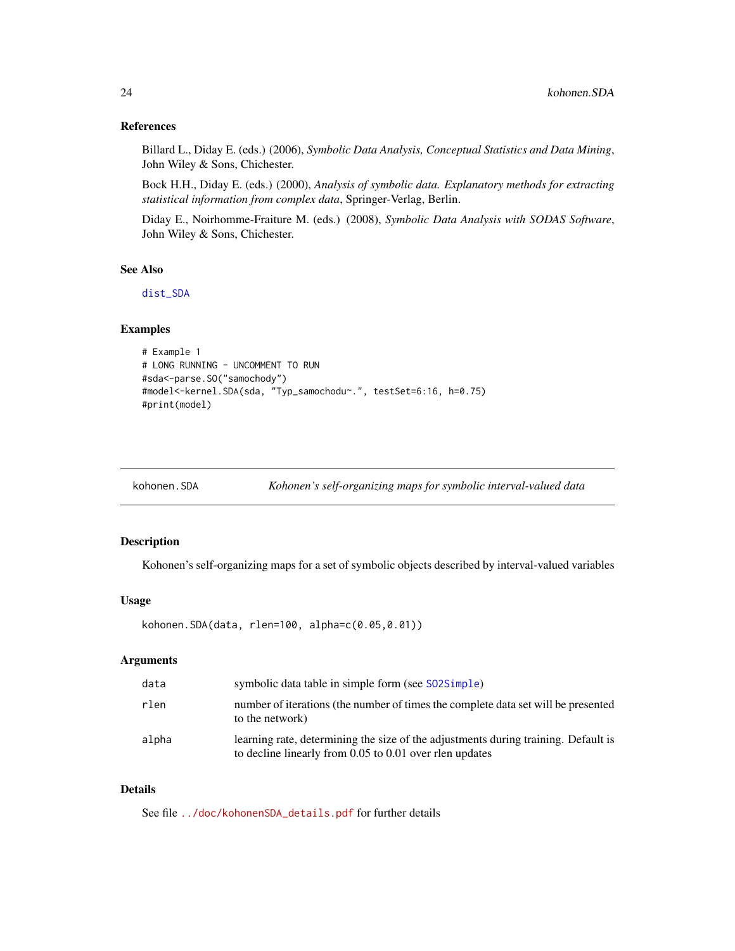#### <span id="page-23-0"></span>References

Billard L., Diday E. (eds.) (2006), *Symbolic Data Analysis, Conceptual Statistics and Data Mining*, John Wiley & Sons, Chichester.

Bock H.H., Diday E. (eds.) (2000), *Analysis of symbolic data. Explanatory methods for extracting statistical information from complex data*, Springer-Verlag, Berlin.

Diday E., Noirhomme-Fraiture M. (eds.) (2008), *Symbolic Data Analysis with SODAS Software*, John Wiley & Sons, Chichester.

# See Also

[dist\\_SDA](#page-10-1)

#### Examples

```
# Example 1
# LONG RUNNING - UNCOMMENT TO RUN
#sda<-parse.SO("samochody")
#model<-kernel.SDA(sda, "Typ_samochodu~.", testSet=6:16, h=0.75)
#print(model)
```

| Kohonen's self-organizing maps for symbolic interval-valued data |
|------------------------------------------------------------------|
|------------------------------------------------------------------|

# Description

Kohonen's self-organizing maps for a set of symbolic objects described by interval-valued variables

# Usage

```
kohonen.SDA(data, rlen=100, alpha=c(0.05,0.01))
```
# Arguments

| data  | symbolic data table in simple form (see S02Simple)                                                                                            |
|-------|-----------------------------------------------------------------------------------------------------------------------------------------------|
| rlen  | number of iterations (the number of times the complete data set will be presented<br>to the network)                                          |
| alpha | learning rate, determining the size of the adjustments during training. Default is<br>to decline linearly from 0.05 to 0.01 over rlen updates |

#### Details

See file [../doc/kohonenSDA\\_details.pdf](../doc/kohonenSDA_details.pdf) for further details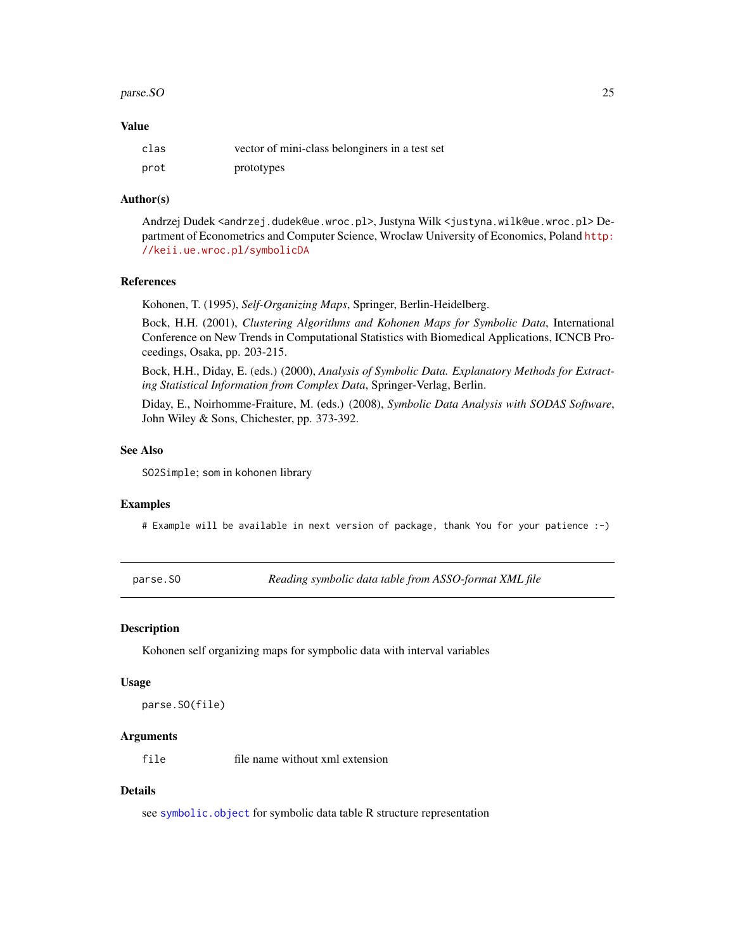#### <span id="page-24-0"></span>parse.SO 25

#### Value

| clas | vector of mini-class belonginers in a test set |
|------|------------------------------------------------|
| prot | prototypes                                     |

#### Author(s)

Andrzej Dudek <andrzej.dudek@ue.wroc.pl>, Justyna Wilk <justyna.wilk@ue.wroc.pl> Department of Econometrics and Computer Science, Wroclaw University of Economics, Poland [http:](http://keii.ue.wroc.pl/symbolicDA) [//keii.ue.wroc.pl/symbolicDA](http://keii.ue.wroc.pl/symbolicDA)

#### References

Kohonen, T. (1995), *Self-Organizing Maps*, Springer, Berlin-Heidelberg.

Bock, H.H. (2001), *Clustering Algorithms and Kohonen Maps for Symbolic Data*, International Conference on New Trends in Computational Statistics with Biomedical Applications, ICNCB Proceedings, Osaka, pp. 203-215.

Bock, H.H., Diday, E. (eds.) (2000), *Analysis of Symbolic Data. Explanatory Methods for Extracting Statistical Information from Complex Data*, Springer-Verlag, Berlin.

Diday, E., Noirhomme-Fraiture, M. (eds.) (2008), *Symbolic Data Analysis with SODAS Software*, John Wiley & Sons, Chichester, pp. 373-392.

#### See Also

SO2Simple; som in kohonen library

#### Examples

# Example will be available in next version of package, thank You for your patience :-)

<span id="page-24-1"></span>parse.SO *Reading symbolic data table from ASSO-format XML file*

#### Description

Kohonen self organizing maps for sympbolic data with interval variables

#### Usage

```
parse.SO(file)
```
#### Arguments

file file name without xml extension

#### Details

see [symbolic.object](#page-42-1) for symbolic data table R structure representation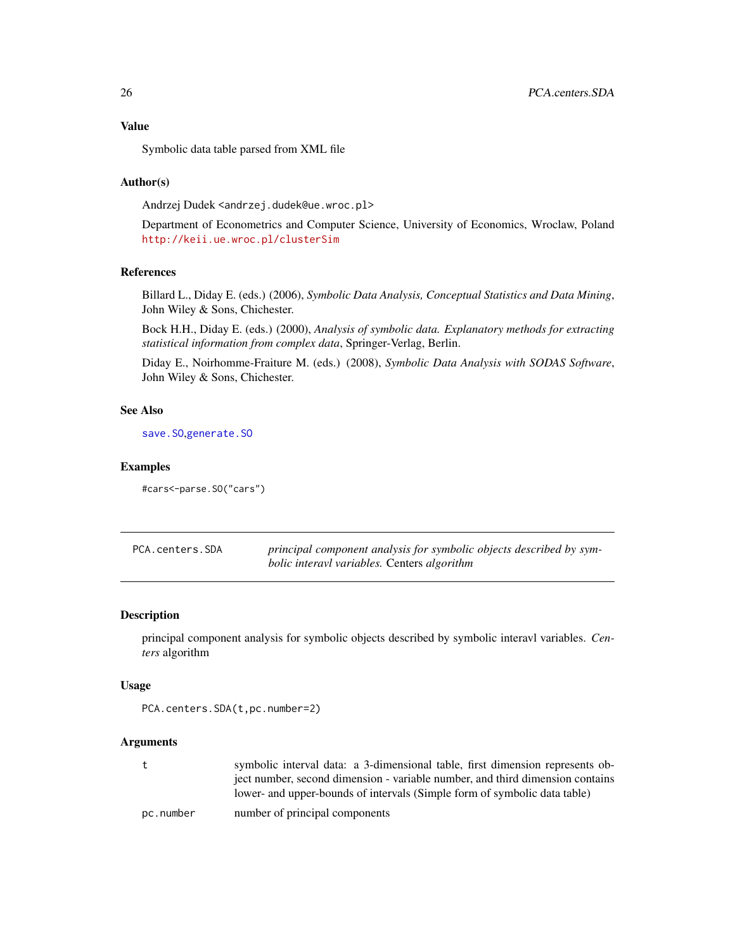# <span id="page-25-0"></span>Value

Symbolic data table parsed from XML file

#### Author(s)

Andrzej Dudek <andrzej.dudek@ue.wroc.pl>

Department of Econometrics and Computer Science, University of Economics, Wroclaw, Poland <http://keii.ue.wroc.pl/clusterSim>

#### References

Billard L., Diday E. (eds.) (2006), *Symbolic Data Analysis, Conceptual Statistics and Data Mining*, John Wiley & Sons, Chichester.

Bock H.H., Diday E. (eds.) (2000), *Analysis of symbolic data. Explanatory methods for extracting statistical information from complex data*, Springer-Verlag, Berlin.

Diday E., Noirhomme-Fraiture M. (eds.) (2008), *Symbolic Data Analysis with SODAS Software*, John Wiley & Sons, Chichester.

# See Also

[save.SO](#page-37-1),[generate.SO](#page-13-1)

#### Examples

#cars<-parse.SO("cars")

<span id="page-25-1"></span>

| PCA.centers.SDA | principal component analysis for symbolic objects described by sym- |
|-----------------|---------------------------------------------------------------------|
|                 | <i>bolic interavl variables.</i> Centers <i>algorithm</i>           |

# Description

principal component analysis for symbolic objects described by symbolic interavl variables. *Centers* algorithm

#### Usage

PCA.centers.SDA(t,pc.number=2)

### Arguments

| symbolic interval data: a 3-dimensional table, first dimension represents ob- |
|-------------------------------------------------------------------------------|
| ject number, second dimension - variable number, and third dimension contains |
| lower- and upper-bounds of intervals (Simple form of symbolic data table)     |
|                                                                               |

pc.number number of principal components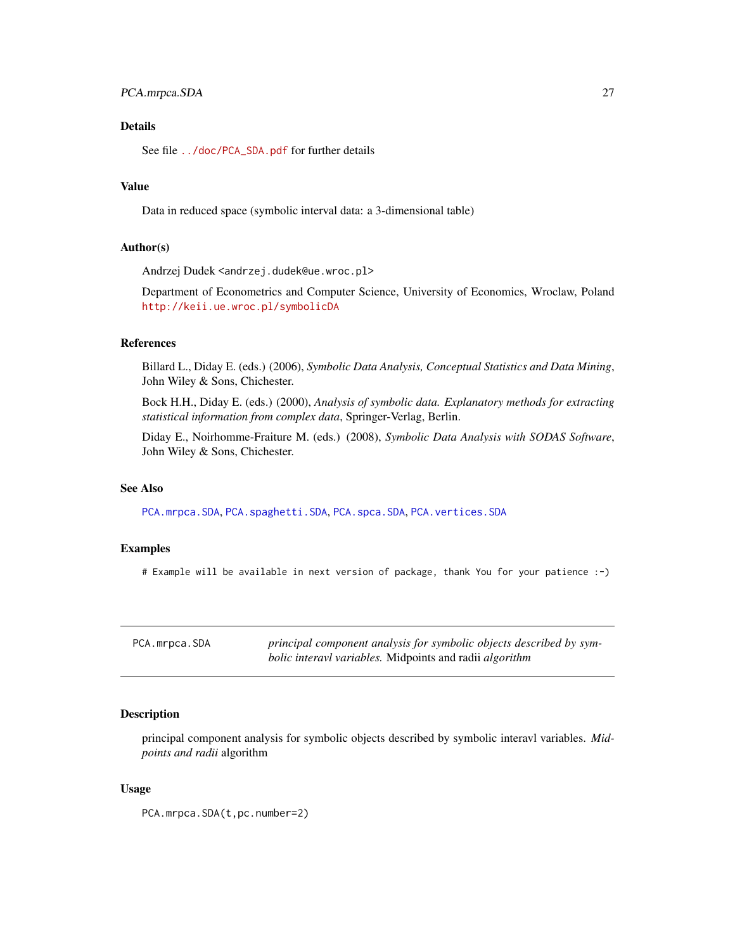# <span id="page-26-0"></span>PCA.mrpca.SDA 27

# Details

See file [../doc/PCA\\_SDA.pdf](../doc/PCA_SDA.pdf) for further details

#### Value

Data in reduced space (symbolic interval data: a 3-dimensional table)

#### Author(s)

Andrzej Dudek <andrzej.dudek@ue.wroc.pl>

Department of Econometrics and Computer Science, University of Economics, Wroclaw, Poland <http://keii.ue.wroc.pl/symbolicDA>

# References

Billard L., Diday E. (eds.) (2006), *Symbolic Data Analysis, Conceptual Statistics and Data Mining*, John Wiley & Sons, Chichester.

Bock H.H., Diday E. (eds.) (2000), *Analysis of symbolic data. Explanatory methods for extracting statistical information from complex data*, Springer-Verlag, Berlin.

Diday E., Noirhomme-Fraiture M. (eds.) (2008), *Symbolic Data Analysis with SODAS Software*, John Wiley & Sons, Chichester.

#### See Also

[PCA.mrpca.SDA](#page-26-1), [PCA.spaghetti.SDA](#page-27-1), [PCA.spca.SDA](#page-29-1), [PCA.vertices.SDA](#page-30-1)

### Examples

# Example will be available in next version of package, thank You for your patience :-)

<span id="page-26-1"></span>

| PCA.mrpca.SDA | principal component analysis for symbolic objects described by sym-   |
|---------------|-----------------------------------------------------------------------|
|               | <i>bolic interavl variables.</i> Midpoints and radii <i>algorithm</i> |

# Description

principal component analysis for symbolic objects described by symbolic interavl variables. *Midpoints and radii* algorithm

#### Usage

PCA.mrpca.SDA(t,pc.number=2)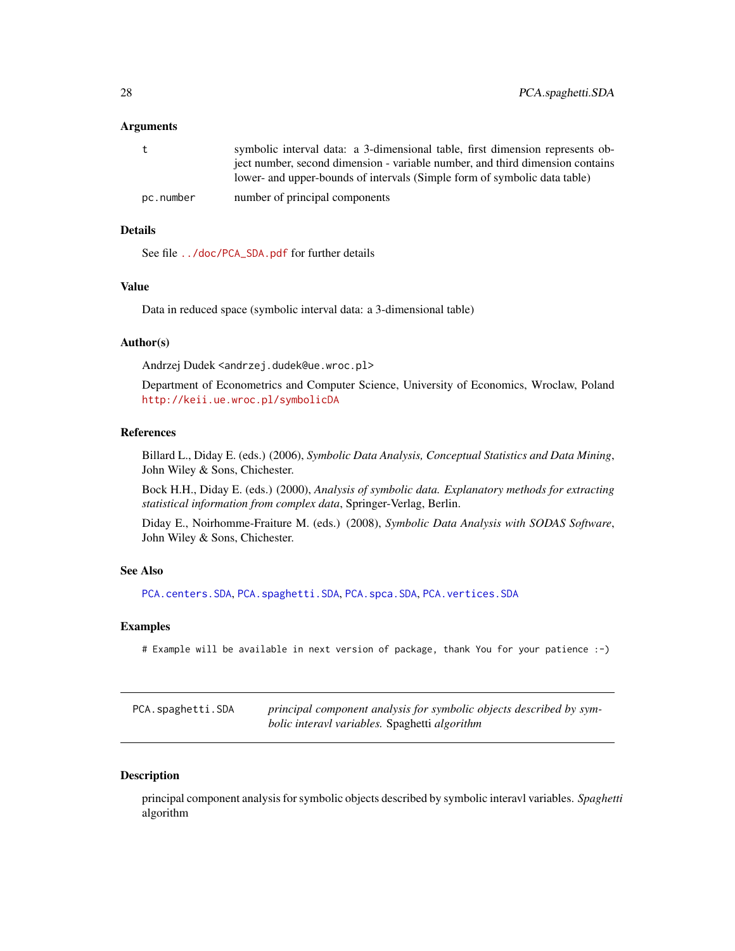#### <span id="page-27-0"></span>Arguments

| t         | symbolic interval data: a 3-dimensional table, first dimension represents ob- |
|-----------|-------------------------------------------------------------------------------|
|           | ject number, second dimension - variable number, and third dimension contains |
|           | lower- and upper-bounds of intervals (Simple form of symbolic data table)     |
| pc.number | number of principal components                                                |

# Details

See file [../doc/PCA\\_SDA.pdf](../doc/PCA_SDA.pdf) for further details

# Value

Data in reduced space (symbolic interval data: a 3-dimensional table)

# Author(s)

Andrzej Dudek <andrzej.dudek@ue.wroc.pl>

Department of Econometrics and Computer Science, University of Economics, Wroclaw, Poland <http://keii.ue.wroc.pl/symbolicDA>

# References

Billard L., Diday E. (eds.) (2006), *Symbolic Data Analysis, Conceptual Statistics and Data Mining*, John Wiley & Sons, Chichester.

Bock H.H., Diday E. (eds.) (2000), *Analysis of symbolic data. Explanatory methods for extracting statistical information from complex data*, Springer-Verlag, Berlin.

Diday E., Noirhomme-Fraiture M. (eds.) (2008), *Symbolic Data Analysis with SODAS Software*, John Wiley & Sons, Chichester.

#### See Also

[PCA.centers.SDA](#page-25-1), [PCA.spaghetti.SDA](#page-27-1), [PCA.spca.SDA](#page-29-1), [PCA.vertices.SDA](#page-30-1)

#### Examples

# Example will be available in next version of package, thank You for your patience :-)

<span id="page-27-1"></span>

| PCA.spaghetti.SDA | principal component analysis for symbolic objects described by sym- |
|-------------------|---------------------------------------------------------------------|
|                   | bolic interavl variables. Spaghetti algorithm                       |

#### Description

principal component analysis for symbolic objects described by symbolic interavl variables. *Spaghetti* algorithm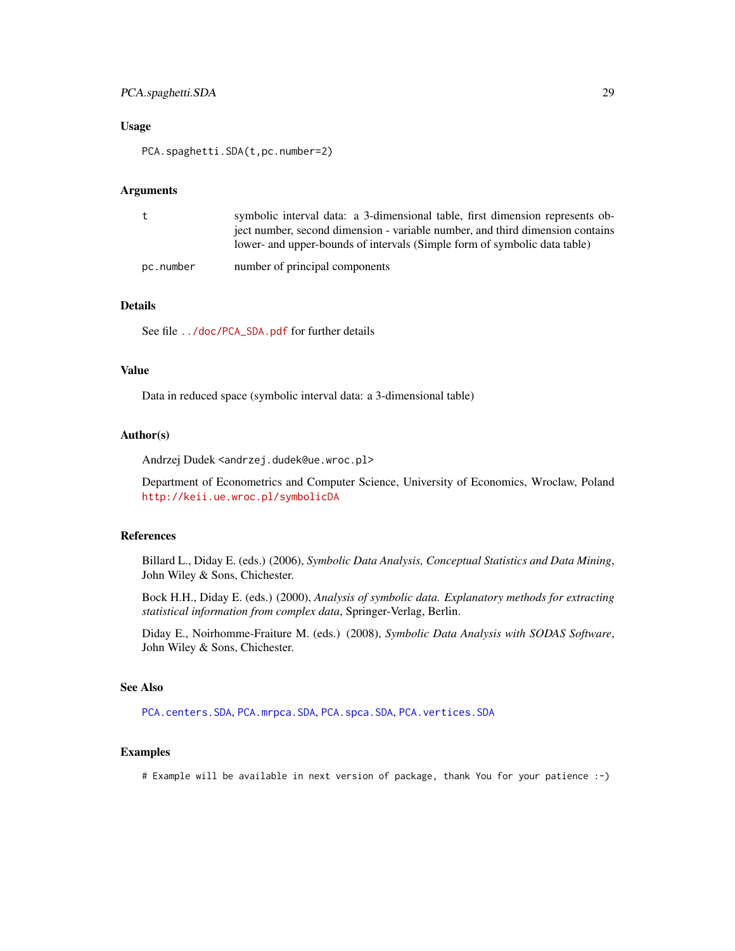# <span id="page-28-0"></span>PCA.spaghetti.SDA 29

#### Usage

PCA.spaghetti.SDA(t,pc.number=2)

# Arguments

|           | symbolic interval data: a 3-dimensional table, first dimension represents ob-<br>ject number, second dimension - variable number, and third dimension contains<br>lower- and upper-bounds of intervals (Simple form of symbolic data table) |
|-----------|---------------------------------------------------------------------------------------------------------------------------------------------------------------------------------------------------------------------------------------------|
| pc.number | number of principal components                                                                                                                                                                                                              |

# Details

See file [../doc/PCA\\_SDA.pdf](../doc/PCA_SDA.pdf) for further details

#### Value

Data in reduced space (symbolic interval data: a 3-dimensional table)

# Author(s)

Andrzej Dudek <andrzej.dudek@ue.wroc.pl>

Department of Econometrics and Computer Science, University of Economics, Wroclaw, Poland <http://keii.ue.wroc.pl/symbolicDA>

# References

Billard L., Diday E. (eds.) (2006), *Symbolic Data Analysis, Conceptual Statistics and Data Mining*, John Wiley & Sons, Chichester.

Bock H.H., Diday E. (eds.) (2000), *Analysis of symbolic data. Explanatory methods for extracting statistical information from complex data*, Springer-Verlag, Berlin.

Diday E., Noirhomme-Fraiture M. (eds.) (2008), *Symbolic Data Analysis with SODAS Software*, John Wiley & Sons, Chichester.

#### See Also

[PCA.centers.SDA](#page-25-1), [PCA.mrpca.SDA](#page-26-1), [PCA.spca.SDA](#page-29-1), [PCA.vertices.SDA](#page-30-1)

# Examples

# Example will be available in next version of package, thank You for your patience :-)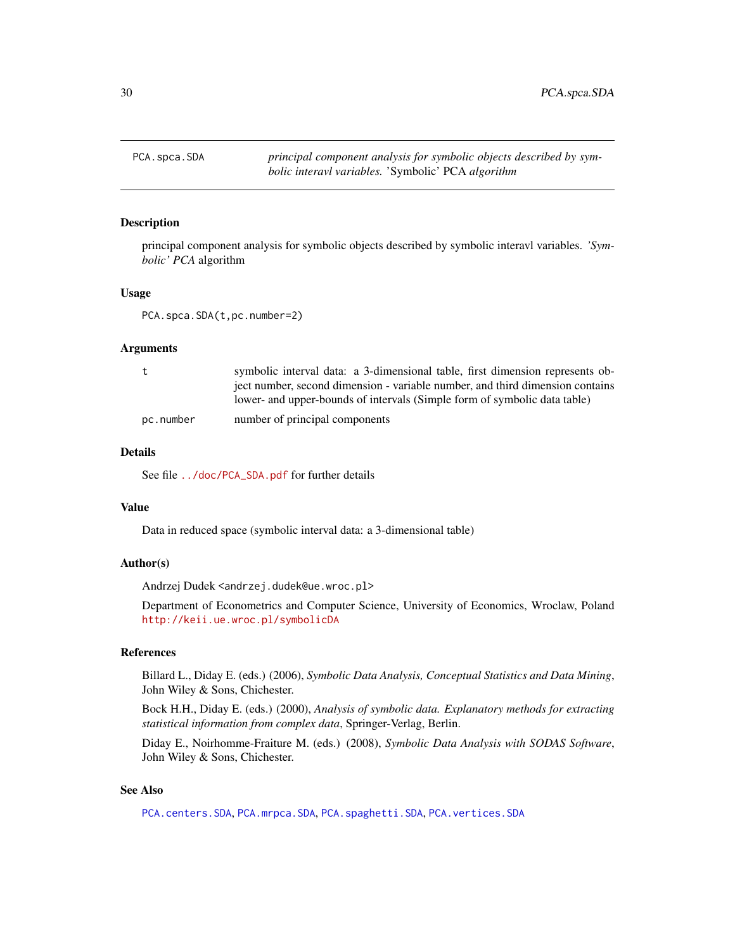<span id="page-29-1"></span><span id="page-29-0"></span>

# Description

principal component analysis for symbolic objects described by symbolic interavl variables. *'Symbolic' PCA* algorithm

#### Usage

PCA.spca.SDA(t,pc.number=2)

### Arguments

| t         | symbolic interval data: a 3-dimensional table, first dimension represents ob- |
|-----------|-------------------------------------------------------------------------------|
|           | ject number, second dimension - variable number, and third dimension contains |
|           | lower- and upper-bounds of intervals (Simple form of symbolic data table)     |
| pc.number | number of principal components                                                |

# Details

See file [../doc/PCA\\_SDA.pdf](../doc/PCA_SDA.pdf) for further details

# Value

Data in reduced space (symbolic interval data: a 3-dimensional table)

#### Author(s)

Andrzej Dudek <andrzej.dudek@ue.wroc.pl>

Department of Econometrics and Computer Science, University of Economics, Wroclaw, Poland <http://keii.ue.wroc.pl/symbolicDA>

#### References

Billard L., Diday E. (eds.) (2006), *Symbolic Data Analysis, Conceptual Statistics and Data Mining*, John Wiley & Sons, Chichester.

Bock H.H., Diday E. (eds.) (2000), *Analysis of symbolic data. Explanatory methods for extracting statistical information from complex data*, Springer-Verlag, Berlin.

Diday E., Noirhomme-Fraiture M. (eds.) (2008), *Symbolic Data Analysis with SODAS Software*, John Wiley & Sons, Chichester.

# See Also

[PCA.centers.SDA](#page-25-1), [PCA.mrpca.SDA](#page-26-1), [PCA.spaghetti.SDA](#page-27-1), [PCA.vertices.SDA](#page-30-1)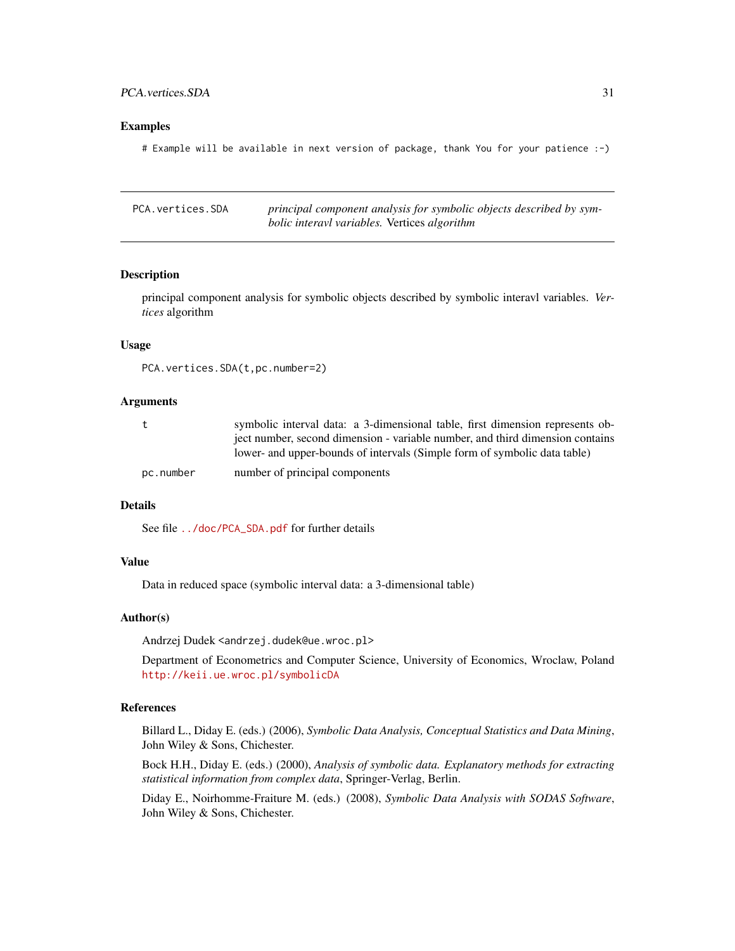# <span id="page-30-0"></span>PCA.vertices.SDA 31

#### Examples

# Example will be available in next version of package, thank You for your patience :-)

<span id="page-30-1"></span>PCA.vertices.SDA *principal component analysis for symbolic objects described by symbolic interavl variables.* Vertices *algorithm*

#### Description

principal component analysis for symbolic objects described by symbolic interavl variables. *Vertices* algorithm

#### Usage

```
PCA.vertices.SDA(t,pc.number=2)
```
#### Arguments

| t         | symbolic interval data: a 3-dimensional table, first dimension represents ob- |
|-----------|-------------------------------------------------------------------------------|
|           | ject number, second dimension - variable number, and third dimension contains |
|           | lower- and upper-bounds of intervals (Simple form of symbolic data table)     |
| pc.number | number of principal components                                                |

#### Details

See file [../doc/PCA\\_SDA.pdf](../doc/PCA_SDA.pdf) for further details

# Value

Data in reduced space (symbolic interval data: a 3-dimensional table)

#### Author(s)

Andrzej Dudek <andrzej.dudek@ue.wroc.pl>

Department of Econometrics and Computer Science, University of Economics, Wroclaw, Poland <http://keii.ue.wroc.pl/symbolicDA>

# References

Billard L., Diday E. (eds.) (2006), *Symbolic Data Analysis, Conceptual Statistics and Data Mining*, John Wiley & Sons, Chichester.

Bock H.H., Diday E. (eds.) (2000), *Analysis of symbolic data. Explanatory methods for extracting statistical information from complex data*, Springer-Verlag, Berlin.

Diday E., Noirhomme-Fraiture M. (eds.) (2008), *Symbolic Data Analysis with SODAS Software*, John Wiley & Sons, Chichester.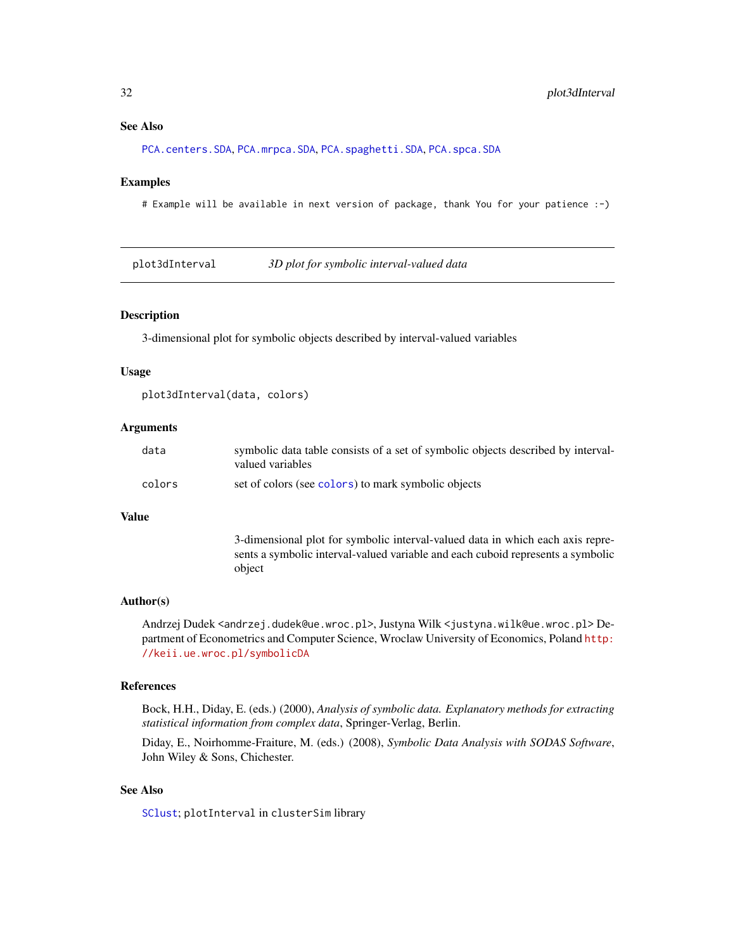#### <span id="page-31-0"></span>See Also

[PCA.centers.SDA](#page-25-1), [PCA.mrpca.SDA](#page-26-1), [PCA.spaghetti.SDA](#page-27-1), [PCA.spca.SDA](#page-29-1)

#### Examples

# Example will be available in next version of package, thank You for your patience :-)

<span id="page-31-1"></span>plot3dInterval *3D plot for symbolic interval-valued data*

# Description

3-dimensional plot for symbolic objects described by interval-valued variables

#### Usage

```
plot3dInterval(data, colors)
```
#### Arguments

| data   | symbolic data table consists of a set of symbolic objects described by interval-<br>valued variables |
|--------|------------------------------------------------------------------------------------------------------|
| colors | set of colors (see colors) to mark symbolic objects                                                  |

#### Value

3-dimensional plot for symbolic interval-valued data in which each axis represents a symbolic interval-valued variable and each cuboid represents a symbolic object

#### Author(s)

Andrzej Dudek <andrzej.dudek@ue.wroc.pl>, Justyna Wilk <justyna.wilk@ue.wroc.pl> Department of Econometrics and Computer Science, Wroclaw University of Economics, Poland [http:](http://keii.ue.wroc.pl/symbolicDA) [//keii.ue.wroc.pl/symbolicDA](http://keii.ue.wroc.pl/symbolicDA)

# References

Bock, H.H., Diday, E. (eds.) (2000), *Analysis of symbolic data. Explanatory methods for extracting statistical information from complex data*, Springer-Verlag, Berlin.

Diday, E., Noirhomme-Fraiture, M. (eds.) (2008), *Symbolic Data Analysis with SODAS Software*, John Wiley & Sons, Chichester.

# See Also

[SClust](#page-38-1); plotInterval in clusterSim library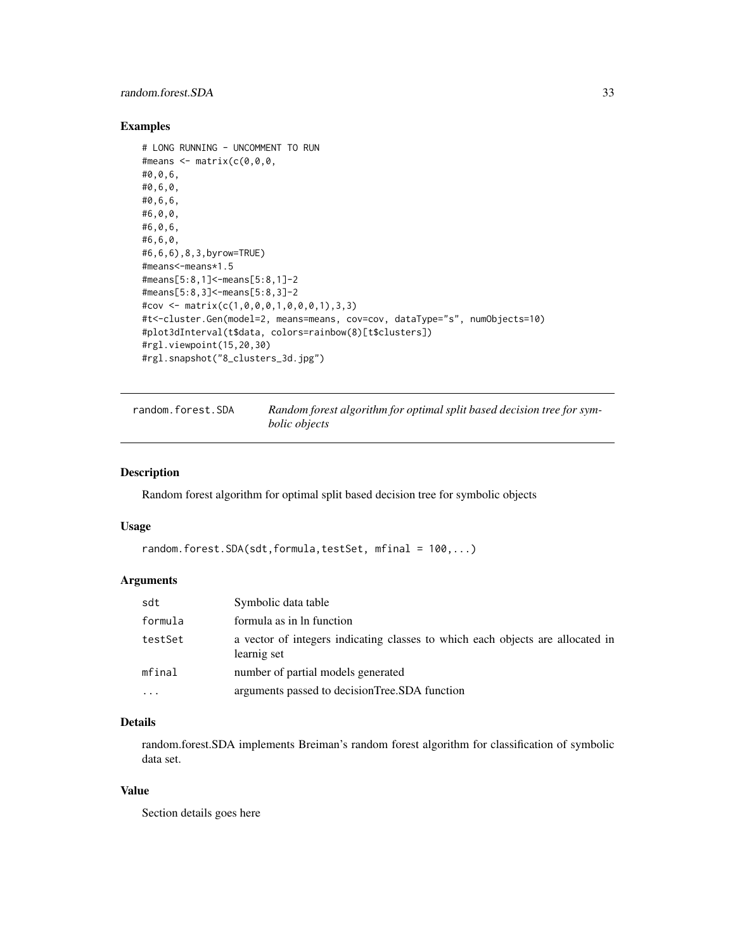# <span id="page-32-0"></span>random.forest.SDA 33

#### Examples

```
# LONG RUNNING - UNCOMMENT TO RUN
#means \leq matrix(c(0,0,0,0)#0,0,6,
#0,6,0,
#0,6,6,
#6,0,0,
#6,0,6,
#6,6,0,
#6,6,6),8,3,byrow=TRUE)
#means<-means*1.5
#means[5:8,1]<-means[5:8,1]-2
#means[5:8,3]<-means[5:8,3]-2
#cov <- matrix(c(1,0,0,0,1,0,0,0,1),3,3)
#t<-cluster.Gen(model=2, means=means, cov=cov, dataType="s", numObjects=10)
#plot3dInterval(t$data, colors=rainbow(8)[t$clusters])
#rgl.viewpoint(15,20,30)
#rgl.snapshot("8_clusters_3d.jpg")
```

```
random.forest.SDA Random forest algorithm for optimal split based decision tree for sym-
                         bolic objects
```
#### Description

Random forest algorithm for optimal split based decision tree for symbolic objects

#### Usage

```
random.forest.SDA(sdt,formula,testSet, mfinal = 100,...)
```
# Arguments

| sdt     | Symbolic data table                                                                           |
|---------|-----------------------------------------------------------------------------------------------|
| formula | formula as in ln function                                                                     |
| testSet | a vector of integers indicating classes to which each objects are allocated in<br>learnig set |
| mfinal  | number of partial models generated                                                            |
|         | arguments passed to decisionTree.SDA function                                                 |

# Details

random.forest.SDA implements Breiman's random forest algorithm for classification of symbolic data set.

# Value

Section details goes here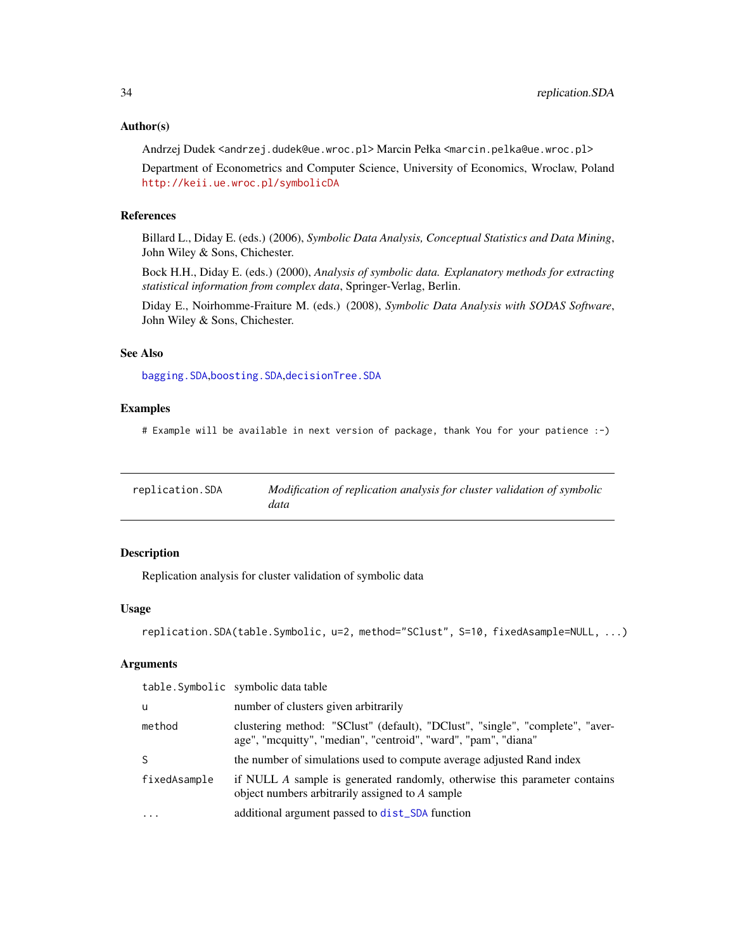#### <span id="page-33-0"></span>Author(s)

Andrzej Dudek <andrzej.dudek@ue.wroc.pl> Marcin Pełka <marcin.pelka@ue.wroc.pl>

Department of Econometrics and Computer Science, University of Economics, Wroclaw, Poland <http://keii.ue.wroc.pl/symbolicDA>

# References

Billard L., Diday E. (eds.) (2006), *Symbolic Data Analysis, Conceptual Statistics and Data Mining*, John Wiley & Sons, Chichester.

Bock H.H., Diday E. (eds.) (2000), *Analysis of symbolic data. Explanatory methods for extracting statistical information from complex data*, Springer-Verlag, Berlin.

Diday E., Noirhomme-Fraiture M. (eds.) (2008), *Symbolic Data Analysis with SODAS Software*, John Wiley & Sons, Chichester.

# See Also

[bagging.SDA](#page-1-1),[boosting.SDA](#page-3-1),[decisionTree.SDA](#page-8-1)

#### Examples

# Example will be available in next version of package, thank You for your patience :-)

| replication.SDA | Modification of replication analysis for cluster validation of symbolic<br>data |
|-----------------|---------------------------------------------------------------------------------|
|                 |                                                                                 |

# Description

Replication analysis for cluster validation of symbolic data

#### Usage

```
replication.SDA(table.Symbolic, u=2, method="SClust", S=10, fixedAsample=NULL, ...)
```
# Arguments

|              | table. Symbolic symbolic data table                                                                                                             |
|--------------|-------------------------------------------------------------------------------------------------------------------------------------------------|
| -u           | number of clusters given arbitrarily                                                                                                            |
| method       | clustering method: "SClust" (default), "DClust", "single", "complete", "aver-<br>age", "mcquitty", "median", "centroid", "ward", "pam", "diana" |
| -S           | the number of simulations used to compute average adjusted Rand index                                                                           |
| fixedAsample | if NULL A sample is generated randomly, otherwise this parameter contains<br>object numbers arbitrarily assigned to A sample                    |
| $\ddotsc$    | additional argument passed to dist_SDA function                                                                                                 |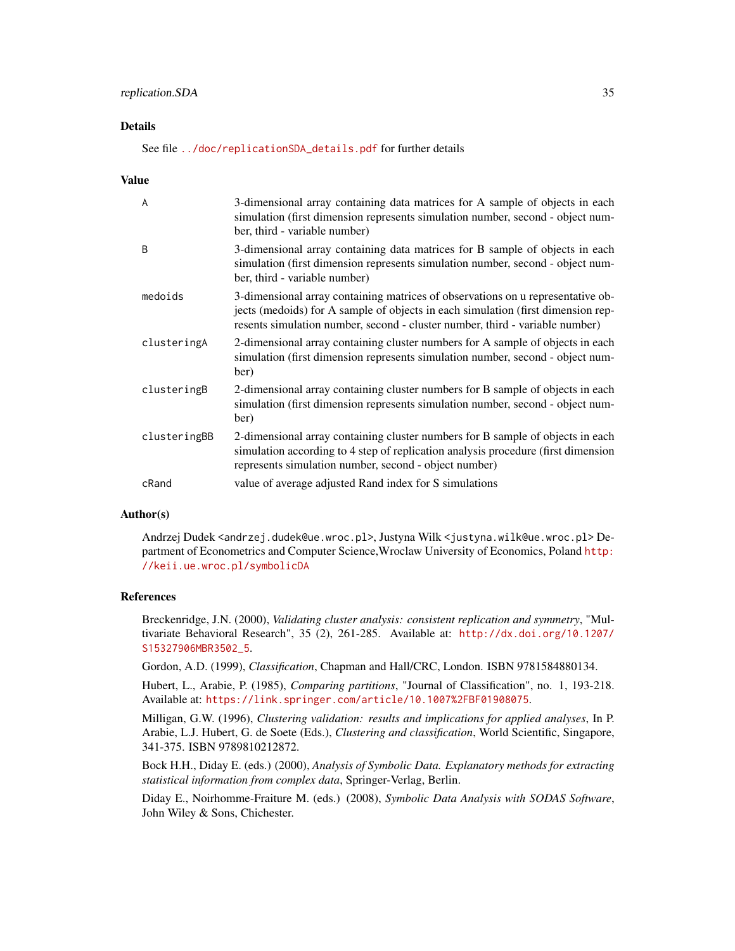#### Details

See file [../doc/replicationSDA\\_details.pdf](../doc/replicationSDA_details.pdf) for further details

#### Value

| $\overline{A}$ | 3-dimensional array containing data matrices for A sample of objects in each<br>simulation (first dimension represents simulation number, second - object num-<br>ber, third - variable number)                                                     |
|----------------|-----------------------------------------------------------------------------------------------------------------------------------------------------------------------------------------------------------------------------------------------------|
| <sub>B</sub>   | 3-dimensional array containing data matrices for B sample of objects in each<br>simulation (first dimension represents simulation number, second - object num-<br>ber, third - variable number)                                                     |
| medoids        | 3-dimensional array containing matrices of observations on u representative ob-<br>jects (medoids) for A sample of objects in each simulation (first dimension rep-<br>resents simulation number, second - cluster number, third - variable number) |
| clusteringA    | 2-dimensional array containing cluster numbers for A sample of objects in each<br>simulation (first dimension represents simulation number, second - object num-<br>ber)                                                                            |
| clusteringB    | 2-dimensional array containing cluster numbers for B sample of objects in each<br>simulation (first dimension represents simulation number, second - object num-<br>ber)                                                                            |
| clusteringBB   | 2-dimensional array containing cluster numbers for B sample of objects in each<br>simulation according to 4 step of replication analysis procedure (first dimension<br>represents simulation number, second - object number)                        |
| cRand          | value of average adjusted Rand index for S simulations                                                                                                                                                                                              |

# Author(s)

Andrzej Dudek <andrzej.dudek@ue.wroc.pl>, Justyna Wilk <justyna.wilk@ue.wroc.pl> Department of Econometrics and Computer Science,Wroclaw University of Economics, Poland [http:](http://keii.ue.wroc.pl/symbolicDA) [//keii.ue.wroc.pl/symbolicDA](http://keii.ue.wroc.pl/symbolicDA)

#### References

Breckenridge, J.N. (2000), *Validating cluster analysis: consistent replication and symmetry*, "Multivariate Behavioral Research", 35 (2), 261-285. Available at: [http://dx.doi.org/10.1207/](http://dx.doi.org/10.1207/S15327906MBR3502_5) [S15327906MBR3502\\_5](http://dx.doi.org/10.1207/S15327906MBR3502_5).

Gordon, A.D. (1999), *Classification*, Chapman and Hall/CRC, London. ISBN 9781584880134.

Hubert, L., Arabie, P. (1985), *Comparing partitions*, "Journal of Classification", no. 1, 193-218. Available at: <https://link.springer.com/article/10.1007%2FBF01908075>.

Milligan, G.W. (1996), *Clustering validation: results and implications for applied analyses*, In P. Arabie, L.J. Hubert, G. de Soete (Eds.), *Clustering and classification*, World Scientific, Singapore, 341-375. ISBN 9789810212872.

Bock H.H., Diday E. (eds.) (2000), *Analysis of Symbolic Data. Explanatory methods for extracting statistical information from complex data*, Springer-Verlag, Berlin.

Diday E., Noirhomme-Fraiture M. (eds.) (2008), *Symbolic Data Analysis with SODAS Software*, John Wiley & Sons, Chichester.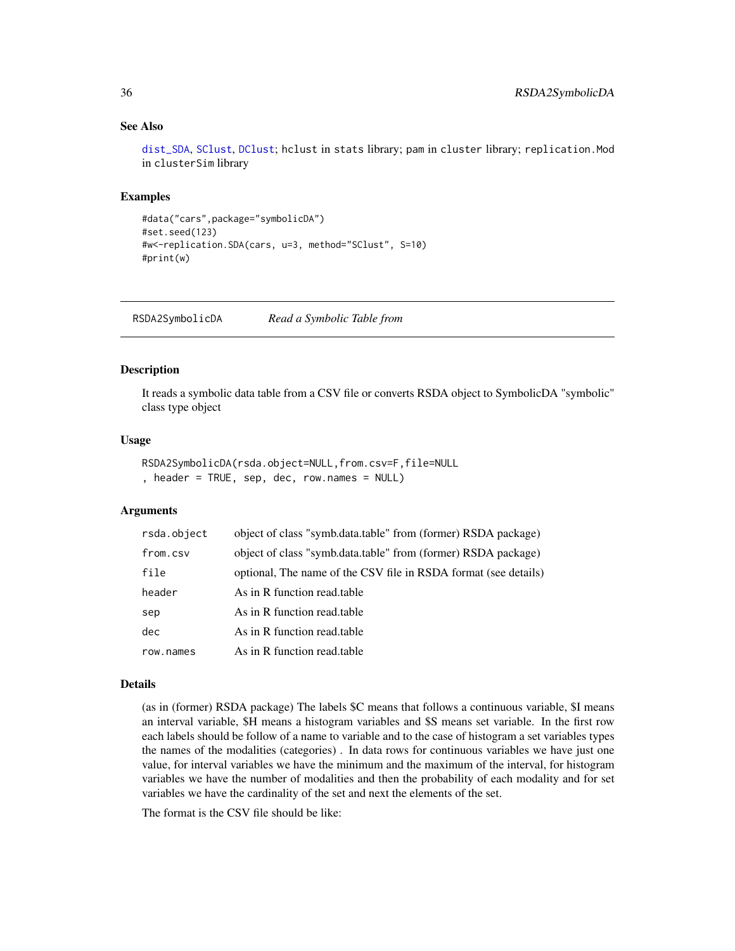# See Also

[dist\\_SDA](#page-10-1), [SClust](#page-38-1), [DClust](#page-7-1); hclust in stats library; pam in cluster library; replication.Mod in clusterSim library

# Examples

```
#data("cars",package="symbolicDA")
#set.seed(123)
#w<-replication.SDA(cars, u=3, method="SClust", S=10)
#print(w)
```
RSDA2SymbolicDA *Read a Symbolic Table from*

#### Description

It reads a symbolic data table from a CSV file or converts RSDA object to SymbolicDA "symbolic" class type object

#### Usage

```
RSDA2SymbolicDA(rsda.object=NULL,from.csv=F,file=NULL
, header = TRUE, sep, dec, row.names = NULL)
```
#### Arguments

| rsda.object | object of class "symb.data.table" from (former) RSDA package)   |
|-------------|-----------------------------------------------------------------|
| from.csv    | object of class "symb.data.table" from (former) RSDA package)   |
| file        | optional, The name of the CSV file in RSDA format (see details) |
| header      | As in R function read table                                     |
| sep         | As in R function read table                                     |
| dec         | As in R function read.table                                     |
| row.names   | As in R function read table                                     |

#### Details

(as in (former) RSDA package) The labels \$C means that follows a continuous variable, \$I means an interval variable, \$H means a histogram variables and \$S means set variable. In the first row each labels should be follow of a name to variable and to the case of histogram a set variables types the names of the modalities (categories) . In data rows for continuous variables we have just one value, for interval variables we have the minimum and the maximum of the interval, for histogram variables we have the number of modalities and then the probability of each modality and for set variables we have the cardinality of the set and next the elements of the set.

The format is the CSV file should be like:

<span id="page-35-0"></span>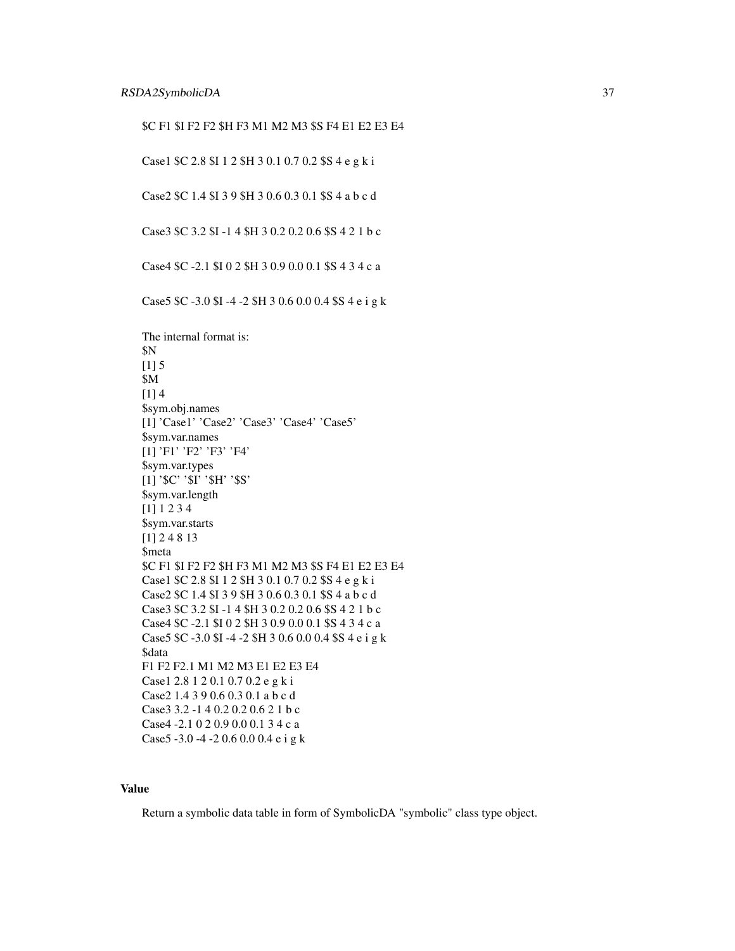\$C F1 \$I F2 F2 \$H F3 M1 M2 M3 \$S F4 E1 E2 E3 E4

Case1 \$C 2.8 \$I 1 2 \$H 3 0.1 0.7 0.2 \$S 4 e g k i

Case2 \$C 1.4 \$I 3 9 \$H 3 0.6 0.3 0.1 \$S 4 a b c d

Case3 \$C 3.2 \$I -1 4 \$H 3 0.2 0.2 0.6 \$S 4 2 1 b c

Case4 \$C -2.1 \$I 0 2 \$H 3 0.9 0.0 0.1 \$S 4 3 4 c a

Case5 \$C -3.0 \$I -4 -2 \$H 3 0.6 0.0 0.4 \$S 4 e i g k

The internal format is: \$N  $[1] 5$ \$M [1] 4 \$sym.obj.names [1] 'Case1' 'Case2' 'Case3' 'Case4' 'Case5' \$sym.var.names [1] 'F1' 'F2' 'F3' 'F4' \$sym.var.types [1] '\$C' '\$I' '\$H' '\$S' \$sym.var.length [1] 1 2 3 4 \$sym.var.starts [1] 2 4 8 13 \$meta \$C F1 \$I F2 F2 \$H F3 M1 M2 M3 \$S F4 E1 E2 E3 E4 Case1 \$C 2.8 \$I 1 2 \$H 3 0.1 0.7 0.2 \$S 4 e g k i Case2 \$C 1.4 \$I 3 9 \$H 3 0.6 0.3 0.1 \$S 4 a b c d Case3 \$C 3.2 \$I -1 4 \$H 3 0.2 0.2 0.6 \$S 4 2 1 b c Case4 \$C -2.1 \$I 0 2 \$H 3 0.9 0.0 0.1 \$S 4 3 4 c a Case5 \$C -3.0 \$I -4 -2 \$H 3 0.6 0.0 0.4 \$S 4 e i g k \$data F1 F2 F2.1 M1 M2 M3 E1 E2 E3 E4 Case1 2.8 1 2 0.1 0.7 0.2 e g k i Case2 1.4 3 9 0.6 0.3 0.1 a b c d Case3 3.2 -1 4 0.2 0.2 0.6 2 1 b c Case4 -2.1 0 2 0.9 0.0 0.1 3 4 c a Case5 -3.0 -4 -2 0.6 0.0 0.4 e i g k

#### Value

Return a symbolic data table in form of SymbolicDA "symbolic" class type object.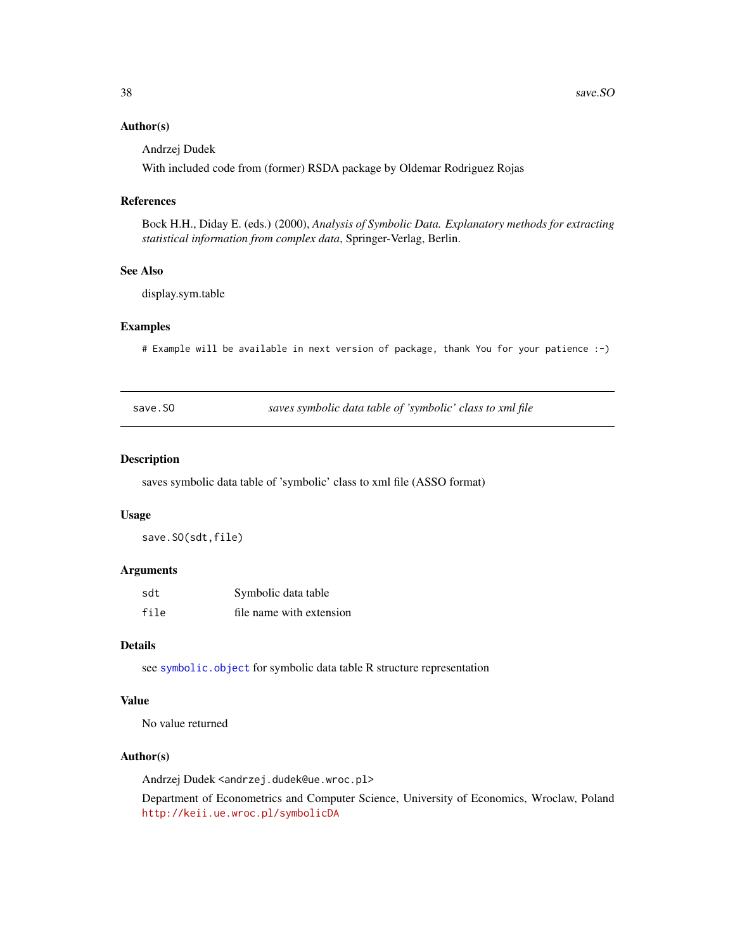#### <span id="page-37-0"></span>Author(s)

Andrzej Dudek

With included code from (former) RSDA package by Oldemar Rodriguez Rojas

#### References

Bock H.H., Diday E. (eds.) (2000), *Analysis of Symbolic Data. Explanatory methods for extracting statistical information from complex data*, Springer-Verlag, Berlin.

# See Also

display.sym.table

#### Examples

# Example will be available in next version of package, thank You for your patience :-)

<span id="page-37-1"></span>save.SO *saves symbolic data table of 'symbolic' class to xml file*

#### Description

saves symbolic data table of 'symbolic' class to xml file (ASSO format)

#### Usage

save.SO(sdt,file)

#### Arguments

| sdt  | Symbolic data table      |
|------|--------------------------|
| file | file name with extension |

# Details

see [symbolic.object](#page-42-1) for symbolic data table R structure representation

# Value

No value returned

#### Author(s)

Andrzej Dudek <andrzej.dudek@ue.wroc.pl>

Department of Econometrics and Computer Science, University of Economics, Wroclaw, Poland <http://keii.ue.wroc.pl/symbolicDA>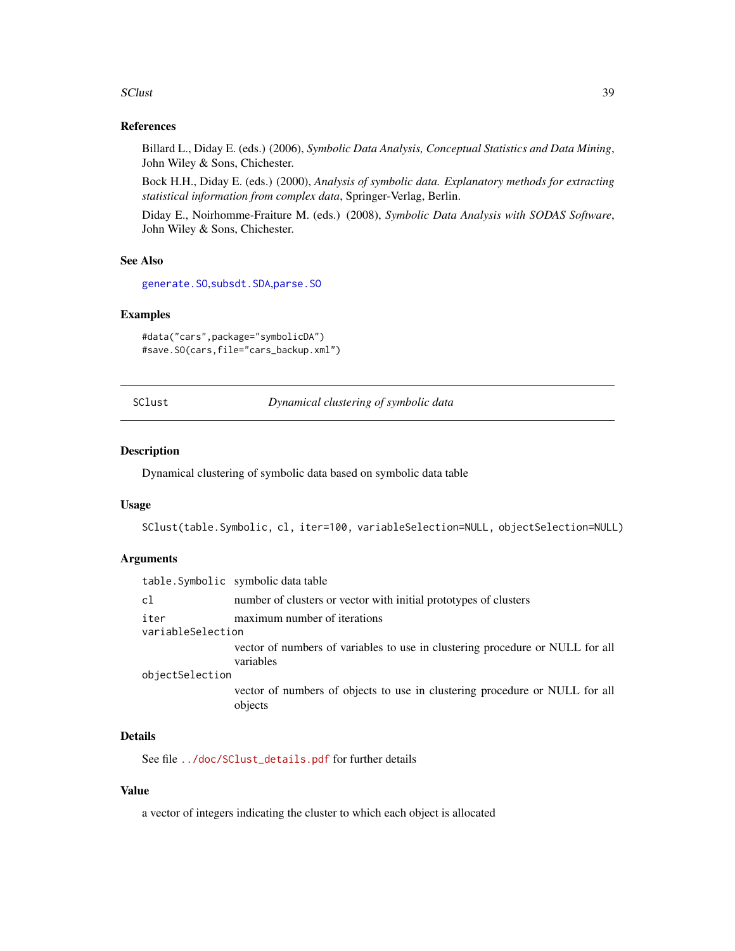#### <span id="page-38-0"></span>SClust 39

#### References

Billard L., Diday E. (eds.) (2006), *Symbolic Data Analysis, Conceptual Statistics and Data Mining*, John Wiley & Sons, Chichester.

Bock H.H., Diday E. (eds.) (2000), *Analysis of symbolic data. Explanatory methods for extracting statistical information from complex data*, Springer-Verlag, Berlin.

Diday E., Noirhomme-Fraiture M. (eds.) (2008), *Symbolic Data Analysis with SODAS Software*, John Wiley & Sons, Chichester.

# See Also

[generate.SO](#page-13-1),[subsdt.SDA](#page-41-1),[parse.SO](#page-24-1)

#### Examples

```
#data("cars",package="symbolicDA")
#save.SO(cars,file="cars_backup.xml")
```
<span id="page-38-1"></span>SClust *Dynamical clustering of symbolic data*

#### Description

Dynamical clustering of symbolic data based on symbolic data table

#### Usage

SClust(table.Symbolic, cl, iter=100, variableSelection=NULL, objectSelection=NULL)

#### Arguments

|                   | table. Symbolic symbolic data table                                                        |  |
|-------------------|--------------------------------------------------------------------------------------------|--|
| c1                | number of clusters or vector with initial prototypes of clusters                           |  |
| iter              | maximum number of iterations                                                               |  |
| variableSelection |                                                                                            |  |
|                   | vector of numbers of variables to use in clustering procedure or NULL for all<br>variables |  |
| objectSelection   |                                                                                            |  |
|                   | vector of numbers of objects to use in clustering procedure or NULL for all<br>objects     |  |

# Details

See file [../doc/SClust\\_details.pdf](../doc/SClust_details.pdf) for further details

# Value

a vector of integers indicating the cluster to which each object is allocated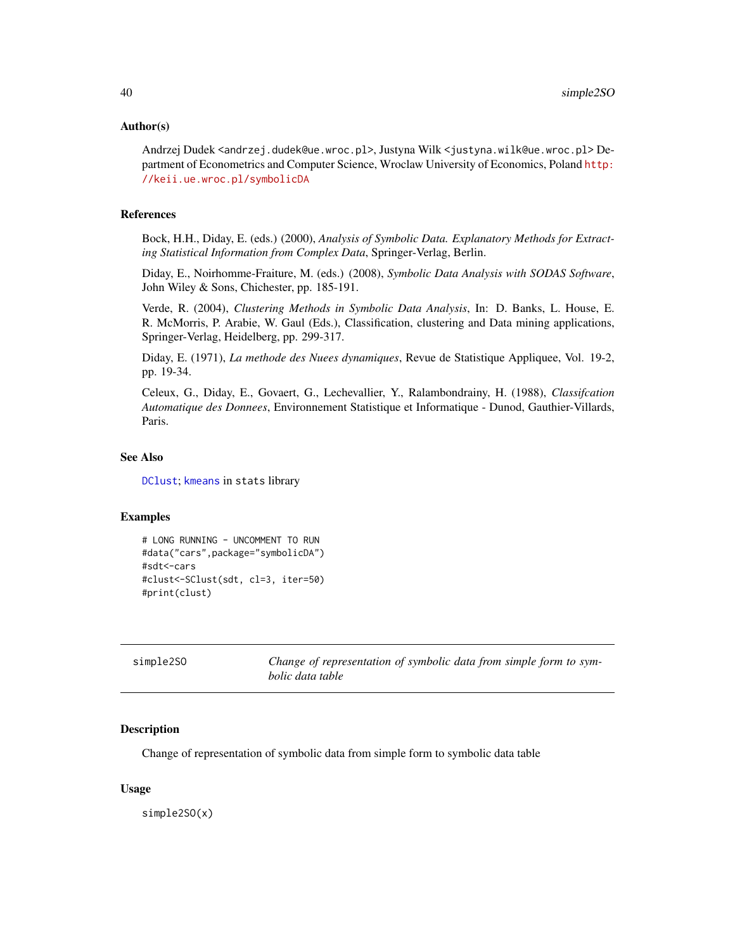#### <span id="page-39-0"></span>Author(s)

Andrzej Dudek <andrzej.dudek@ue.wroc.pl>, Justyna Wilk <justyna.wilk@ue.wroc.pl> Department of Econometrics and Computer Science, Wroclaw University of Economics, Poland [http:](http://keii.ue.wroc.pl/symbolicDA) [//keii.ue.wroc.pl/symbolicDA](http://keii.ue.wroc.pl/symbolicDA)

#### References

Bock, H.H., Diday, E. (eds.) (2000), *Analysis of Symbolic Data. Explanatory Methods for Extracting Statistical Information from Complex Data*, Springer-Verlag, Berlin.

Diday, E., Noirhomme-Fraiture, M. (eds.) (2008), *Symbolic Data Analysis with SODAS Software*, John Wiley & Sons, Chichester, pp. 185-191.

Verde, R. (2004), *Clustering Methods in Symbolic Data Analysis*, In: D. Banks, L. House, E. R. McMorris, P. Arabie, W. Gaul (Eds.), Classification, clustering and Data mining applications, Springer-Verlag, Heidelberg, pp. 299-317.

Diday, E. (1971), *La methode des Nuees dynamiques*, Revue de Statistique Appliquee, Vol. 19-2, pp. 19-34.

Celeux, G., Diday, E., Govaert, G., Lechevallier, Y., Ralambondrainy, H. (1988), *Classifcation Automatique des Donnees*, Environnement Statistique et Informatique - Dunod, Gauthier-Villards, Paris.

#### See Also

[DClust](#page-7-1); [kmeans](#page-0-0) in stats library

#### Examples

```
# LONG RUNNING - UNCOMMENT TO RUN
#data("cars",package="symbolicDA")
#sdt<-cars
#clust<-SClust(sdt, cl=3, iter=50)
#print(clust)
```

| simple2SO | Change of representation of symbolic data from simple form to sym- |
|-----------|--------------------------------------------------------------------|
|           | bolic data table                                                   |

#### **Description**

Change of representation of symbolic data from simple form to symbolic data table

#### Usage

simple2SO(x)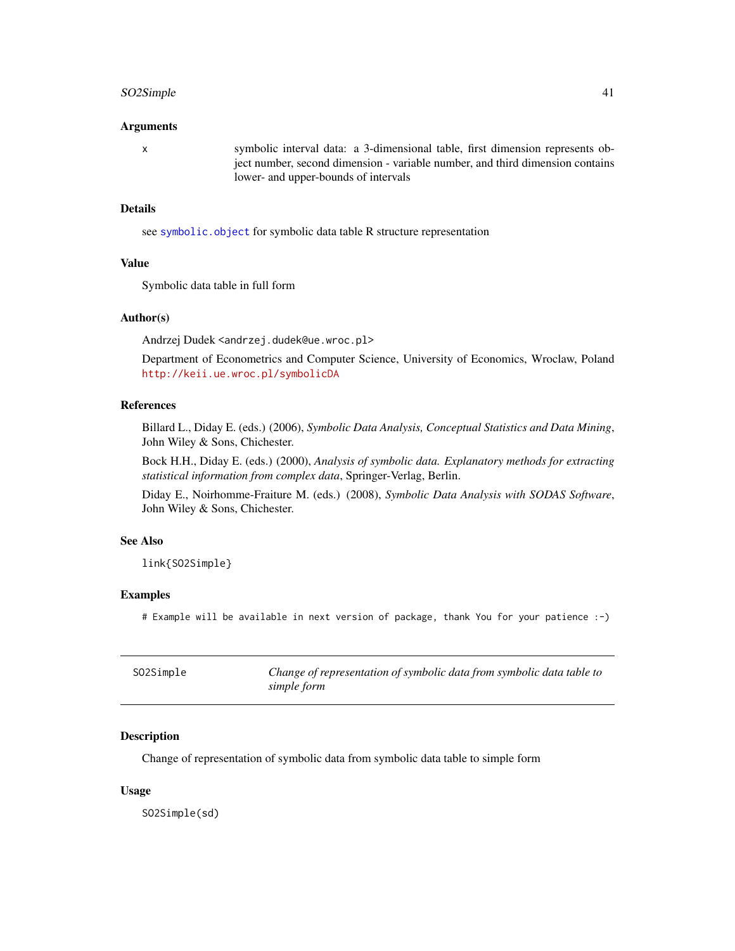# <span id="page-40-0"></span>SO2Simple 41

#### Arguments

x symbolic interval data: a 3-dimensional table, first dimension represents object number, second dimension - variable number, and third dimension contains lower- and upper-bounds of intervals

# Details

see [symbolic.object](#page-42-1) for symbolic data table R structure representation

# Value

Symbolic data table in full form

# Author(s)

Andrzej Dudek <andrzej.dudek@ue.wroc.pl>

Department of Econometrics and Computer Science, University of Economics, Wroclaw, Poland <http://keii.ue.wroc.pl/symbolicDA>

#### References

Billard L., Diday E. (eds.) (2006), *Symbolic Data Analysis, Conceptual Statistics and Data Mining*, John Wiley & Sons, Chichester.

Bock H.H., Diday E. (eds.) (2000), *Analysis of symbolic data. Explanatory methods for extracting statistical information from complex data*, Springer-Verlag, Berlin.

Diday E., Noirhomme-Fraiture M. (eds.) (2008), *Symbolic Data Analysis with SODAS Software*, John Wiley & Sons, Chichester.

# See Also

link{SO2Simple}

#### Examples

# Example will be available in next version of package, thank You for your patience :-)

<span id="page-40-1"></span>

| SO2Simple | Change of representation of symbolic data from symbolic data table to |
|-----------|-----------------------------------------------------------------------|
|           | simple form                                                           |

#### Description

Change of representation of symbolic data from symbolic data table to simple form

#### Usage

SO2Simple(sd)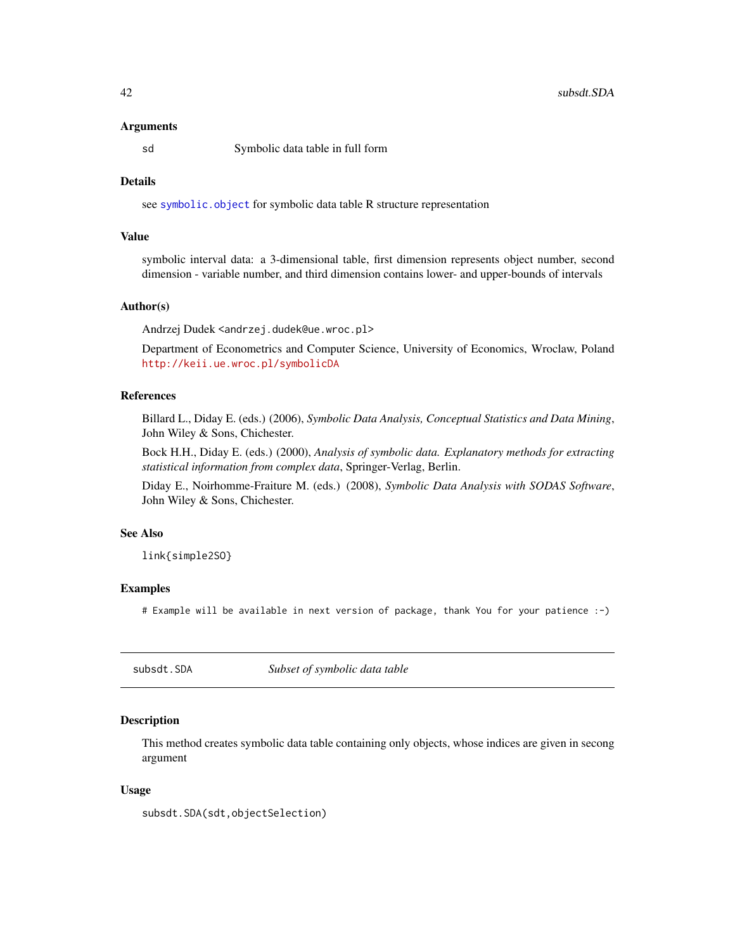#### <span id="page-41-0"></span>Arguments

sd Symbolic data table in full form

# **Details**

see [symbolic.object](#page-42-1) for symbolic data table R structure representation

# Value

symbolic interval data: a 3-dimensional table, first dimension represents object number, second dimension - variable number, and third dimension contains lower- and upper-bounds of intervals

#### Author(s)

Andrzej Dudek <andrzej.dudek@ue.wroc.pl>

Department of Econometrics and Computer Science, University of Economics, Wroclaw, Poland <http://keii.ue.wroc.pl/symbolicDA>

# References

Billard L., Diday E. (eds.) (2006), *Symbolic Data Analysis, Conceptual Statistics and Data Mining*, John Wiley & Sons, Chichester.

Bock H.H., Diday E. (eds.) (2000), *Analysis of symbolic data. Explanatory methods for extracting statistical information from complex data*, Springer-Verlag, Berlin.

Diday E., Noirhomme-Fraiture M. (eds.) (2008), *Symbolic Data Analysis with SODAS Software*, John Wiley & Sons, Chichester.

#### See Also

link{simple2SO}

#### Examples

# Example will be available in next version of package, thank You for your patience :-)

<span id="page-41-1"></span>subsdt.SDA *Subset of symbolic data table*

# Description

This method creates symbolic data table containing only objects, whose indices are given in secong argument

#### Usage

subsdt.SDA(sdt,objectSelection)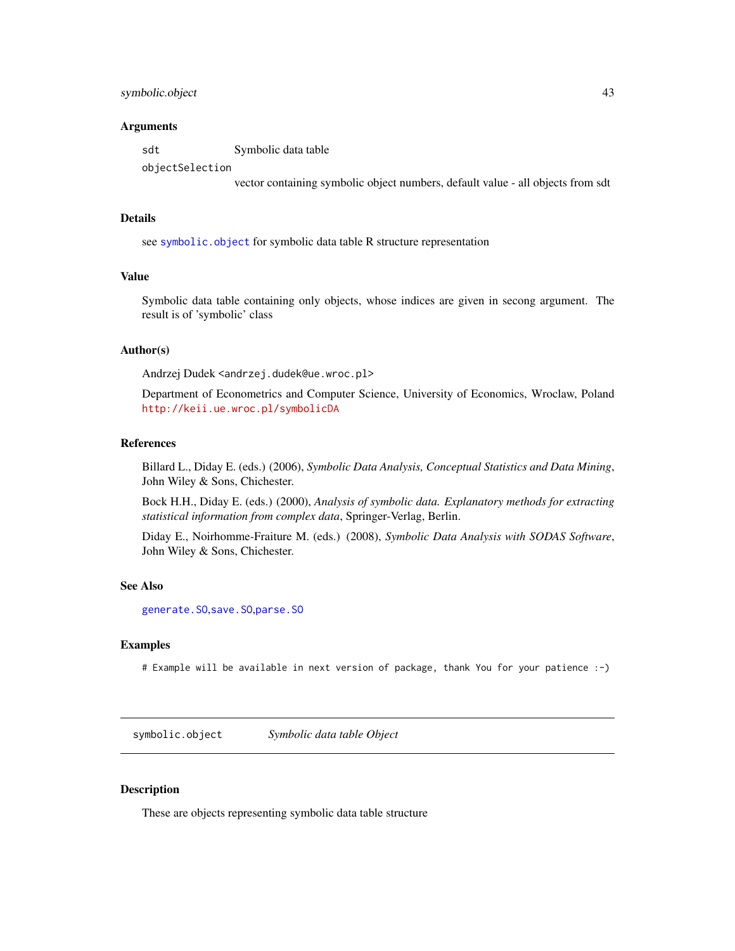# <span id="page-42-0"></span>symbolic.object 43

#### Arguments

sdt Symbolic data table objectSelection

vector containing symbolic object numbers, default value - all objects from sdt

#### Details

see [symbolic.object](#page-42-1) for symbolic data table R structure representation

# Value

Symbolic data table containing only objects, whose indices are given in secong argument. The result is of 'symbolic' class

# Author(s)

Andrzej Dudek <andrzej.dudek@ue.wroc.pl>

Department of Econometrics and Computer Science, University of Economics, Wroclaw, Poland <http://keii.ue.wroc.pl/symbolicDA>

#### References

Billard L., Diday E. (eds.) (2006), *Symbolic Data Analysis, Conceptual Statistics and Data Mining*, John Wiley & Sons, Chichester.

Bock H.H., Diday E. (eds.) (2000), *Analysis of symbolic data. Explanatory methods for extracting statistical information from complex data*, Springer-Verlag, Berlin.

Diday E., Noirhomme-Fraiture M. (eds.) (2008), *Symbolic Data Analysis with SODAS Software*, John Wiley & Sons, Chichester.

#### See Also

[generate.SO](#page-13-1),[save.SO](#page-37-1),[parse.SO](#page-24-1)

#### Examples

# Example will be available in next version of package, thank You for your patience :-)

<span id="page-42-1"></span>symbolic.object *Symbolic data table Object*

# Description

These are objects representing symbolic data table structure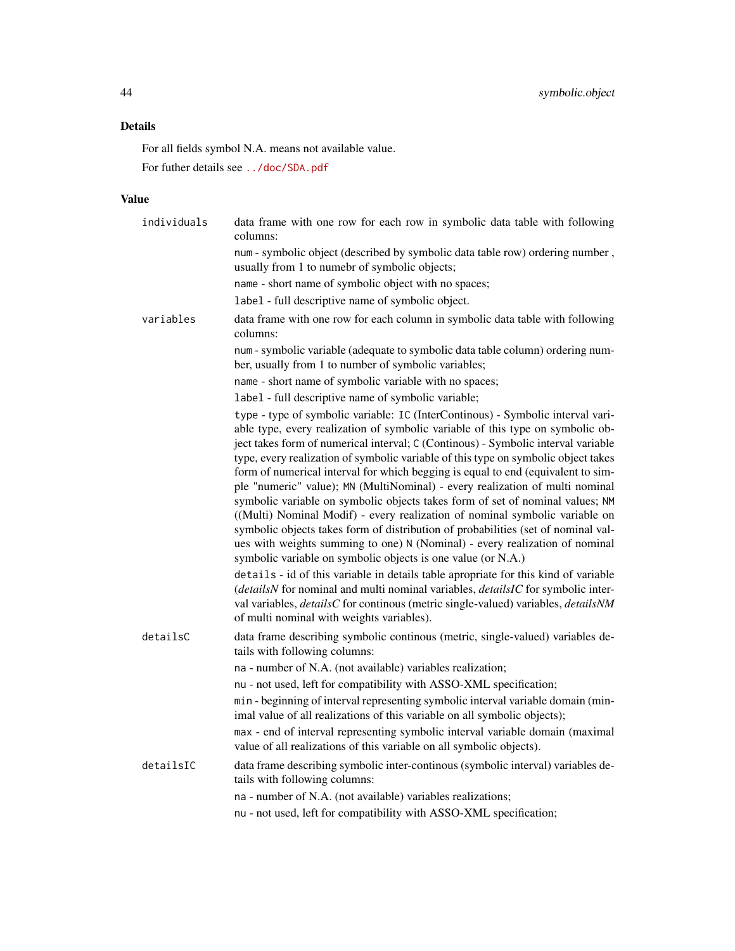# Details

For all fields symbol N.A. means not available value.

For futher details see <../doc/SDA.pdf>

# Value

| individuals | data frame with one row for each row in symbolic data table with following<br>columns:                                                                                                                                                                                                                                                                                                                                                                                                                                                                                                                                                                                                                                                                                                                                                                                                                                                                                                                                                                                                                                                                                                                                                          |
|-------------|-------------------------------------------------------------------------------------------------------------------------------------------------------------------------------------------------------------------------------------------------------------------------------------------------------------------------------------------------------------------------------------------------------------------------------------------------------------------------------------------------------------------------------------------------------------------------------------------------------------------------------------------------------------------------------------------------------------------------------------------------------------------------------------------------------------------------------------------------------------------------------------------------------------------------------------------------------------------------------------------------------------------------------------------------------------------------------------------------------------------------------------------------------------------------------------------------------------------------------------------------|
|             | num - symbolic object (described by symbolic data table row) ordering number,<br>usually from 1 to numebr of symbolic objects;                                                                                                                                                                                                                                                                                                                                                                                                                                                                                                                                                                                                                                                                                                                                                                                                                                                                                                                                                                                                                                                                                                                  |
|             | name - short name of symbolic object with no spaces;                                                                                                                                                                                                                                                                                                                                                                                                                                                                                                                                                                                                                                                                                                                                                                                                                                                                                                                                                                                                                                                                                                                                                                                            |
|             | label - full descriptive name of symbolic object.                                                                                                                                                                                                                                                                                                                                                                                                                                                                                                                                                                                                                                                                                                                                                                                                                                                                                                                                                                                                                                                                                                                                                                                               |
| variables   | data frame with one row for each column in symbolic data table with following<br>columns:                                                                                                                                                                                                                                                                                                                                                                                                                                                                                                                                                                                                                                                                                                                                                                                                                                                                                                                                                                                                                                                                                                                                                       |
|             | num - symbolic variable (adequate to symbolic data table column) ordering num-<br>ber, usually from 1 to number of symbolic variables;                                                                                                                                                                                                                                                                                                                                                                                                                                                                                                                                                                                                                                                                                                                                                                                                                                                                                                                                                                                                                                                                                                          |
|             | name - short name of symbolic variable with no spaces;                                                                                                                                                                                                                                                                                                                                                                                                                                                                                                                                                                                                                                                                                                                                                                                                                                                                                                                                                                                                                                                                                                                                                                                          |
|             | label - full descriptive name of symbolic variable;                                                                                                                                                                                                                                                                                                                                                                                                                                                                                                                                                                                                                                                                                                                                                                                                                                                                                                                                                                                                                                                                                                                                                                                             |
|             | type - type of symbolic variable: IC (InterContinous) - Symbolic interval vari-<br>able type, every realization of symbolic variable of this type on symbolic ob-<br>ject takes form of numerical interval; C (Continous) - Symbolic interval variable<br>type, every realization of symbolic variable of this type on symbolic object takes<br>form of numerical interval for which begging is equal to end (equivalent to sim-<br>ple "numeric" value); MN (MultiNominal) - every realization of multi nominal<br>symbolic variable on symbolic objects takes form of set of nominal values; NM<br>((Multi) Nominal Modif) - every realization of nominal symbolic variable on<br>symbolic objects takes form of distribution of probabilities (set of nominal val-<br>ues with weights summing to one) N (Nominal) - every realization of nominal<br>symbolic variable on symbolic objects is one value (or N.A.)<br>details - id of this variable in details table apropriate for this kind of variable<br>(detailsN for nominal and multi nominal variables, detailsIC for symbolic inter-<br>val variables, <i>detailsC</i> for continous (metric single-valued) variables, <i>detailsNM</i><br>of multi nominal with weights variables). |
| detailsC    | data frame describing symbolic continous (metric, single-valued) variables de-<br>tails with following columns:                                                                                                                                                                                                                                                                                                                                                                                                                                                                                                                                                                                                                                                                                                                                                                                                                                                                                                                                                                                                                                                                                                                                 |
|             | na - number of N.A. (not available) variables realization;                                                                                                                                                                                                                                                                                                                                                                                                                                                                                                                                                                                                                                                                                                                                                                                                                                                                                                                                                                                                                                                                                                                                                                                      |
|             | nu - not used, left for compatibility with ASSO-XML specification;                                                                                                                                                                                                                                                                                                                                                                                                                                                                                                                                                                                                                                                                                                                                                                                                                                                                                                                                                                                                                                                                                                                                                                              |
|             | min - beginning of interval representing symbolic interval variable domain (min-<br>imal value of all realizations of this variable on all symbolic objects);                                                                                                                                                                                                                                                                                                                                                                                                                                                                                                                                                                                                                                                                                                                                                                                                                                                                                                                                                                                                                                                                                   |
|             | max - end of interval representing symbolic interval variable domain (maximal<br>value of all realizations of this variable on all symbolic objects).                                                                                                                                                                                                                                                                                                                                                                                                                                                                                                                                                                                                                                                                                                                                                                                                                                                                                                                                                                                                                                                                                           |
| detailsIC   | data frame describing symbolic inter-continous (symbolic interval) variables de-<br>tails with following columns:                                                                                                                                                                                                                                                                                                                                                                                                                                                                                                                                                                                                                                                                                                                                                                                                                                                                                                                                                                                                                                                                                                                               |
|             | na - number of N.A. (not available) variables realizations;                                                                                                                                                                                                                                                                                                                                                                                                                                                                                                                                                                                                                                                                                                                                                                                                                                                                                                                                                                                                                                                                                                                                                                                     |
|             | nu - not used, left for compatibility with ASSO-XML specification;                                                                                                                                                                                                                                                                                                                                                                                                                                                                                                                                                                                                                                                                                                                                                                                                                                                                                                                                                                                                                                                                                                                                                                              |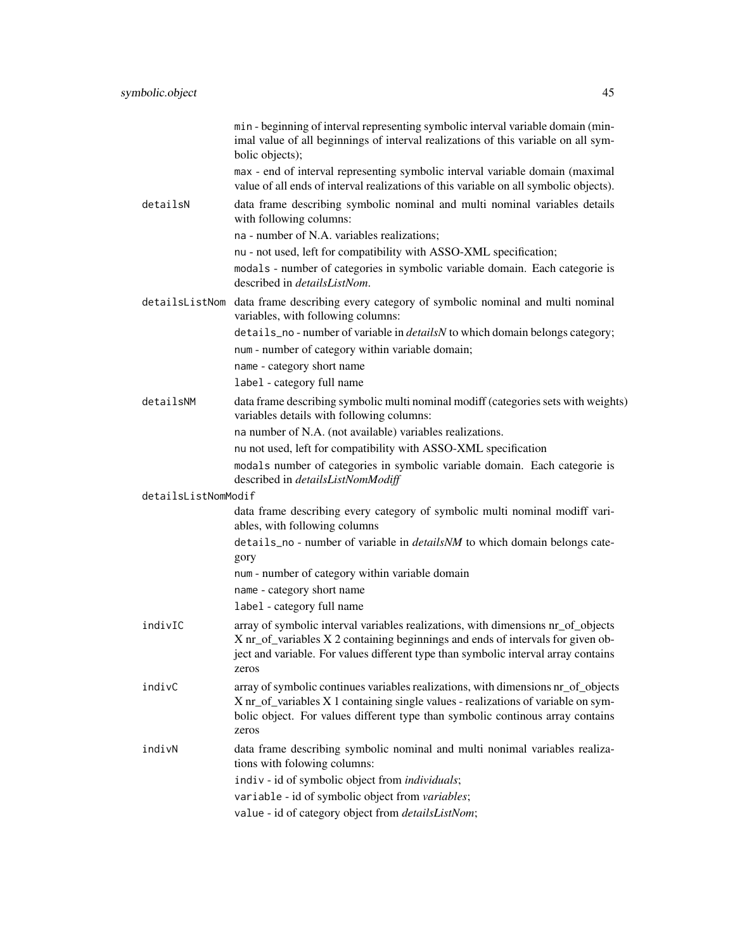|                     | min - beginning of interval representing symbolic interval variable domain (min-<br>imal value of all beginnings of interval realizations of this variable on all sym-<br>bolic objects);                                                                          |
|---------------------|--------------------------------------------------------------------------------------------------------------------------------------------------------------------------------------------------------------------------------------------------------------------|
|                     | max - end of interval representing symbolic interval variable domain (maximal<br>value of all ends of interval realizations of this variable on all symbolic objects).                                                                                             |
| detailsN            | data frame describing symbolic nominal and multi nominal variables details<br>with following columns:                                                                                                                                                              |
|                     | na - number of N.A. variables realizations;                                                                                                                                                                                                                        |
|                     | nu - not used, left for compatibility with ASSO-XML specification;                                                                                                                                                                                                 |
|                     | modals - number of categories in symbolic variable domain. Each categorie is<br>described in <i>detailsListNom</i> .                                                                                                                                               |
|                     | detailsListNom data frame describing every category of symbolic nominal and multi nominal<br>variables, with following columns:                                                                                                                                    |
|                     | details_no-number of variable in <i>detailsN</i> to which domain belongs category;                                                                                                                                                                                 |
|                     | num - number of category within variable domain;                                                                                                                                                                                                                   |
|                     | name - category short name                                                                                                                                                                                                                                         |
|                     | label - category full name                                                                                                                                                                                                                                         |
| detailsNM           | data frame describing symbolic multi nominal modiff (categories sets with weights)<br>variables details with following columns:                                                                                                                                    |
|                     | na number of N.A. (not available) variables realizations.                                                                                                                                                                                                          |
|                     | nu not used, left for compatibility with ASSO-XML specification                                                                                                                                                                                                    |
|                     | modals number of categories in symbolic variable domain. Each categorie is<br>described in detailsListNomModiff                                                                                                                                                    |
| detailsListNomModif |                                                                                                                                                                                                                                                                    |
|                     | data frame describing every category of symbolic multi nominal modiff vari-<br>ables, with following columns                                                                                                                                                       |
|                     | details_no - number of variable in <i>detailsNM</i> to which domain belongs cate-<br>gory                                                                                                                                                                          |
|                     | num - number of category within variable domain                                                                                                                                                                                                                    |
|                     | name - category short name                                                                                                                                                                                                                                         |
|                     | label - category full name                                                                                                                                                                                                                                         |
| indivIC             | array of symbolic interval variables realizations, with dimensions nr_of_objects<br>X nr_of_variables X 2 containing beginnings and ends of intervals for given ob-<br>ject and variable. For values different type than symbolic interval array contains<br>zeros |
| indivC              | array of symbolic continues variables realizations, with dimensions nr_of_objects<br>X nr_of_variables X 1 containing single values - realizations of variable on sym-<br>bolic object. For values different type than symbolic continous array contains<br>zeros  |
| indivN              | data frame describing symbolic nominal and multi nonimal variables realiza-<br>tions with folowing columns:                                                                                                                                                        |
|                     | indiv - id of symbolic object from <i>individuals</i> ;                                                                                                                                                                                                            |
|                     | variable - id of symbolic object from variables;                                                                                                                                                                                                                   |
|                     | value - id of category object from detailsListNom;                                                                                                                                                                                                                 |
|                     |                                                                                                                                                                                                                                                                    |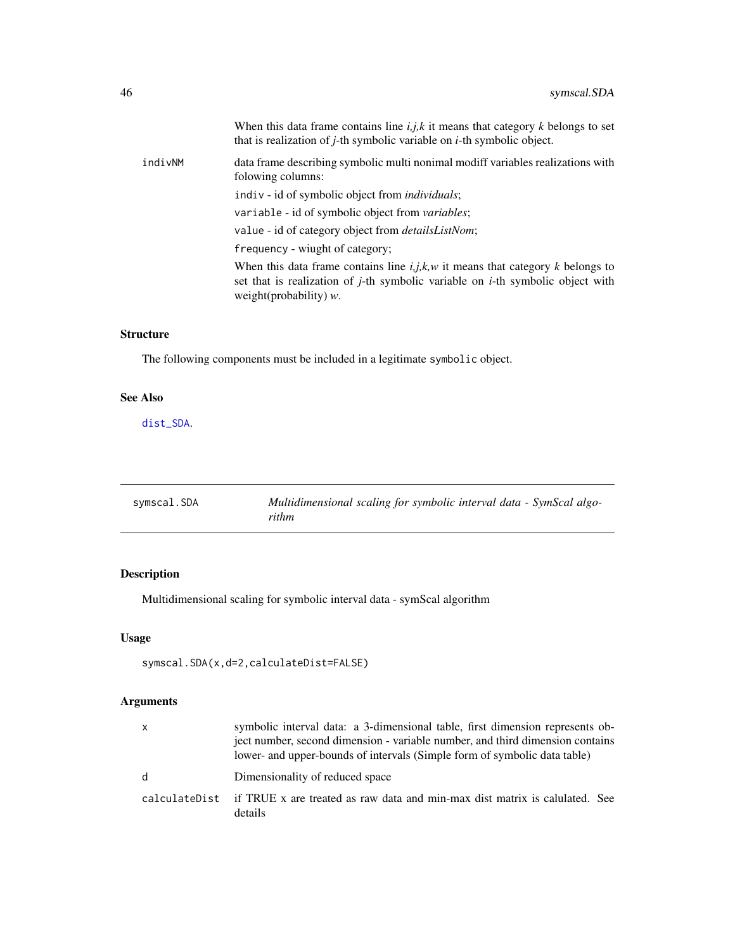<span id="page-45-0"></span>

|         | When this data frame contains line $i, j, k$ it means that category k belongs to set<br>that is realization of $j$ -th symbolic variable on $i$ -th symbolic object.                                               |
|---------|--------------------------------------------------------------------------------------------------------------------------------------------------------------------------------------------------------------------|
| indivNM | data frame describing symbolic multi nonimal modiff variables realizations with<br>folowing columns:                                                                                                               |
|         | indiv - id of symbolic object from <i>individuals</i> ;                                                                                                                                                            |
|         | variable - id of symbolic object from variables;                                                                                                                                                                   |
|         | value - id of category object from <i>detailsListNom</i> ;                                                                                                                                                         |
|         | frequency - wiught of category;                                                                                                                                                                                    |
|         | When this data frame contains line $i, j, k, w$ it means that category k belongs to<br>set that is realization of <i>j</i> -th symbolic variable on <i>i</i> -th symbolic object with<br>weight(probability) $w$ . |
|         |                                                                                                                                                                                                                    |

# Structure

The following components must be included in a legitimate symbolic object.

# See Also

[dist\\_SDA](#page-10-1).

<span id="page-45-1"></span>

| symscal.SDA | Multidimensional scaling for symbolic interval data - SymScal algo- |
|-------------|---------------------------------------------------------------------|
|             | rithm                                                               |

# Description

Multidimensional scaling for symbolic interval data - symScal algorithm

# Usage

```
symscal.SDA(x,d=2,calculateDist=FALSE)
```
# Arguments

| x | symbolic interval data: a 3-dimensional table, first dimension represents ob-<br>ject number, second dimension - variable number, and third dimension contains<br>lower- and upper-bounds of intervals (Simple form of symbolic data table) |
|---|---------------------------------------------------------------------------------------------------------------------------------------------------------------------------------------------------------------------------------------------|
| d | Dimensionality of reduced space                                                                                                                                                                                                             |
|   | calculateDist if TRUE x are treated as raw data and min-max dist matrix is calulated. See<br>details                                                                                                                                        |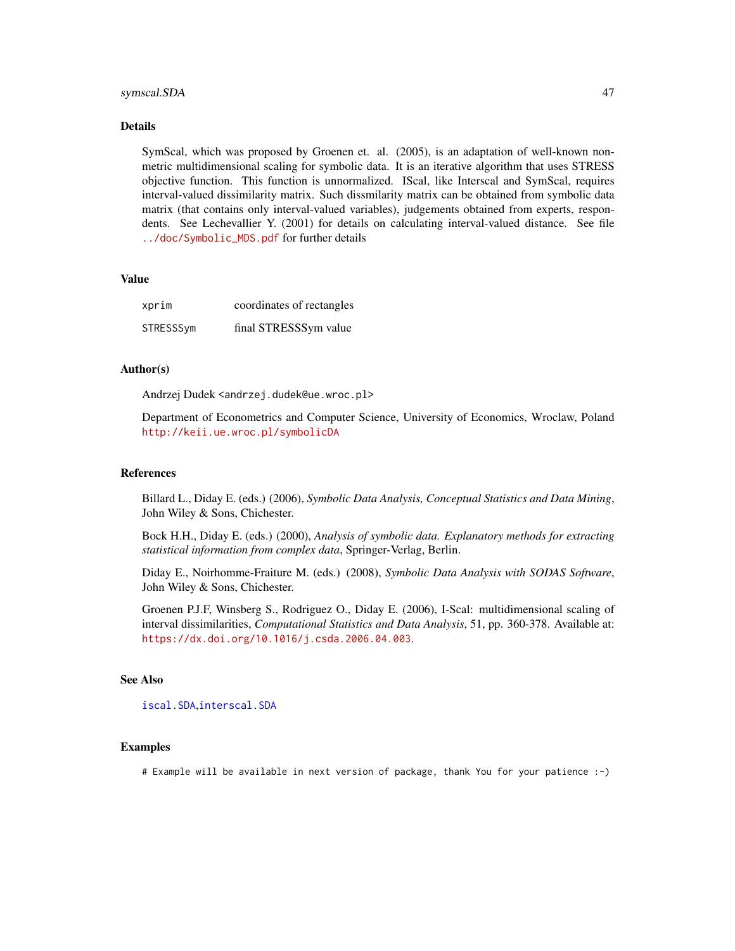#### <span id="page-46-0"></span>symscal.SDA 47

#### Details

SymScal, which was proposed by Groenen et. al. (2005), is an adaptation of well-known nonmetric multidimensional scaling for symbolic data. It is an iterative algorithm that uses STRESS objective function. This function is unnormalized. IScal, like Interscal and SymScal, requires interval-valued dissimilarity matrix. Such dissmilarity matrix can be obtained from symbolic data matrix (that contains only interval-valued variables), judgements obtained from experts, respondents. See Lechevallier Y. (2001) for details on calculating interval-valued distance. See file [../doc/Symbolic\\_MDS.pdf](../doc/Symbolic_MDS.pdf) for further details

# Value

| xprim     | coordinates of rectangles |
|-----------|---------------------------|
| STRESSSym | final STRESSSym value     |

# Author(s)

Andrzej Dudek <andrzej.dudek@ue.wroc.pl>

Department of Econometrics and Computer Science, University of Economics, Wroclaw, Poland <http://keii.ue.wroc.pl/symbolicDA>

#### References

Billard L., Diday E. (eds.) (2006), *Symbolic Data Analysis, Conceptual Statistics and Data Mining*, John Wiley & Sons, Chichester.

Bock H.H., Diday E. (eds.) (2000), *Analysis of symbolic data. Explanatory methods for extracting statistical information from complex data*, Springer-Verlag, Berlin.

Diday E., Noirhomme-Fraiture M. (eds.) (2008), *Symbolic Data Analysis with SODAS Software*, John Wiley & Sons, Chichester.

Groenen P.J.F, Winsberg S., Rodriguez O., Diday E. (2006), I-Scal: multidimensional scaling of interval dissimilarities, *Computational Statistics and Data Analysis*, 51, pp. 360-378. Available at: <https://dx.doi.org/10.1016/j.csda.2006.04.003>.

# See Also

[iscal.SDA](#page-20-1),[interscal.SDA](#page-19-1)

#### Examples

# Example will be available in next version of package, thank You for your patience :-)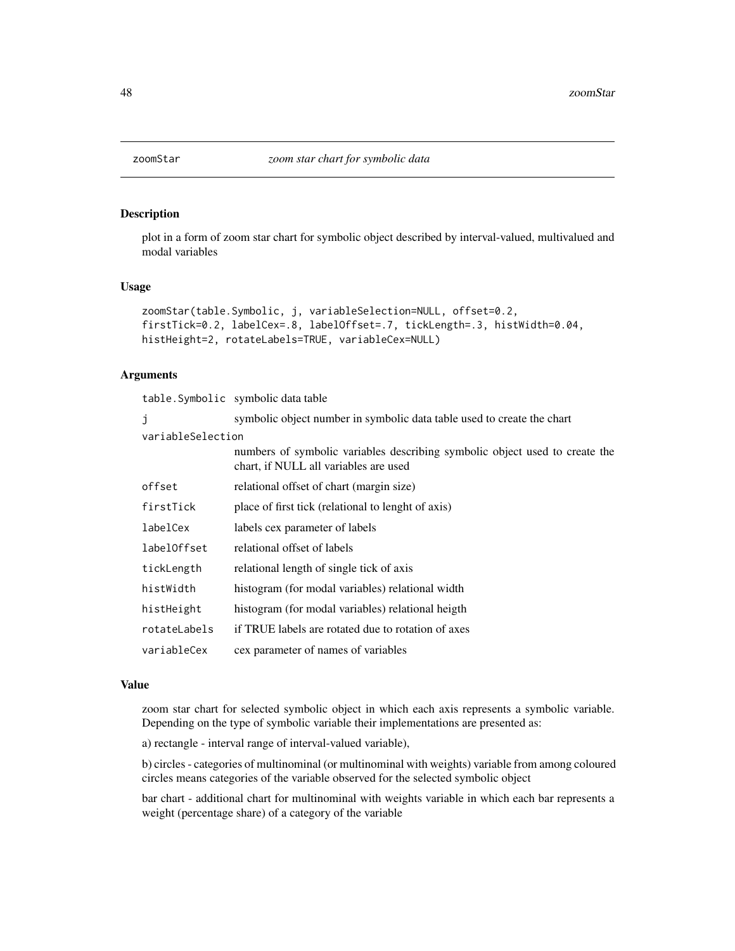<span id="page-47-0"></span>

#### Description

plot in a form of zoom star chart for symbolic object described by interval-valued, multivalued and modal variables

#### Usage

```
zoomStar(table.Symbolic, j, variableSelection=NULL, offset=0.2,
firstTick=0.2, labelCex=.8, labelOffset=.7, tickLength=.3, histWidth=0.04,
histHeight=2, rotateLabels=TRUE, variableCex=NULL)
```
#### Arguments

table.Symbolic symbolic data table

| symbolic object number in symbolic data table used to create the chart<br>J |                                                                                                                      |
|-----------------------------------------------------------------------------|----------------------------------------------------------------------------------------------------------------------|
| variableSelection                                                           |                                                                                                                      |
|                                                                             | numbers of symbolic variables describing symbolic object used to create the<br>chart, if NULL all variables are used |
| offset                                                                      | relational offset of chart (margin size)                                                                             |
| firstTick                                                                   | place of first tick (relational to lenght of axis)                                                                   |
| labelCex                                                                    | labels cex parameter of labels                                                                                       |
| labelOffset                                                                 | relational offset of labels                                                                                          |
| tickLength                                                                  | relational length of single tick of axis                                                                             |
| histWidth                                                                   | histogram (for modal variables) relational width                                                                     |
| histHeight                                                                  | histogram (for modal variables) relational heigth                                                                    |
| rotateLabels                                                                | if TRUE labels are rotated due to rotation of axes                                                                   |
| variableCex                                                                 | cex parameter of names of variables                                                                                  |

#### Value

zoom star chart for selected symbolic object in which each axis represents a symbolic variable. Depending on the type of symbolic variable their implementations are presented as:

a) rectangle - interval range of interval-valued variable),

b) circles - categories of multinominal (or multinominal with weights) variable from among coloured circles means categories of the variable observed for the selected symbolic object

bar chart - additional chart for multinominal with weights variable in which each bar represents a weight (percentage share) of a category of the variable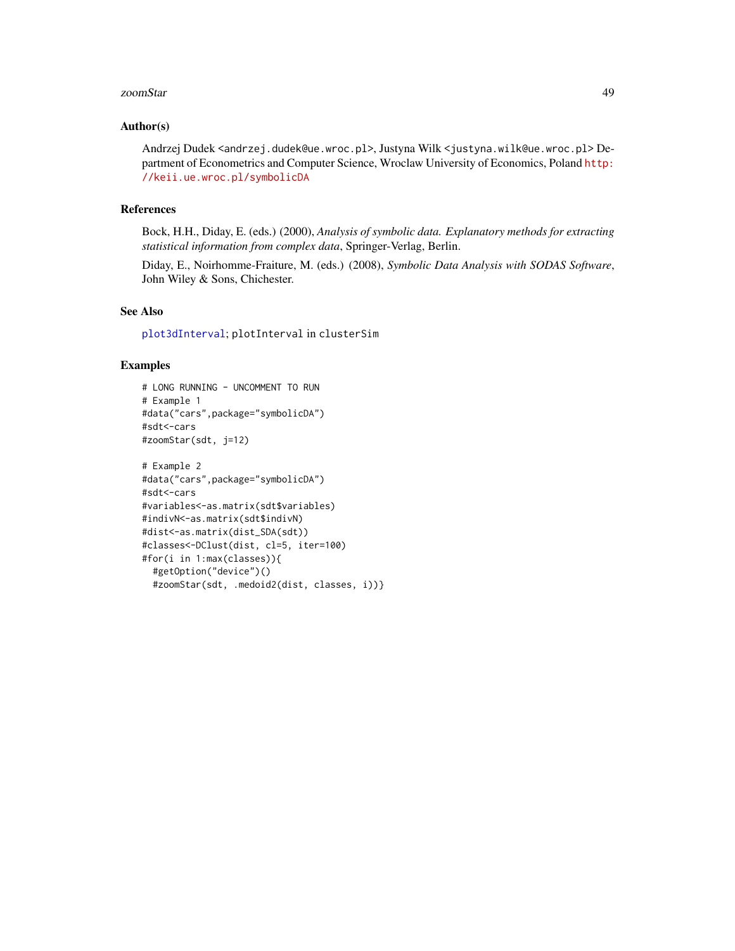#### <span id="page-48-0"></span>zoomStar 49

#### Author(s)

Andrzej Dudek <andrzej.dudek@ue.wroc.pl>, Justyna Wilk <justyna.wilk@ue.wroc.pl> Department of Econometrics and Computer Science, Wroclaw University of Economics, Poland [http:](http://keii.ue.wroc.pl/symbolicDA) [//keii.ue.wroc.pl/symbolicDA](http://keii.ue.wroc.pl/symbolicDA)

#### References

Bock, H.H., Diday, E. (eds.) (2000), *Analysis of symbolic data. Explanatory methods for extracting statistical information from complex data*, Springer-Verlag, Berlin.

Diday, E., Noirhomme-Fraiture, M. (eds.) (2008), *Symbolic Data Analysis with SODAS Software*, John Wiley & Sons, Chichester.

# See Also

[plot3dInterval](#page-31-1); plotInterval in clusterSim

# Examples

```
# LONG RUNNING - UNCOMMENT TO RUN
# Example 1
#data("cars",package="symbolicDA")
#sdt<-cars
#zoomStar(sdt, j=12)
```

```
# Example 2
#data("cars",package="symbolicDA")
#sdt<-cars
#variables<-as.matrix(sdt$variables)
#indivN<-as.matrix(sdt$indivN)
#dist<-as.matrix(dist_SDA(sdt))
#classes<-DClust(dist, cl=5, iter=100)
#for(i in 1:max(classes)){
 #getOption("device")()
 #zoomStar(sdt, .medoid2(dist, classes, i))}
```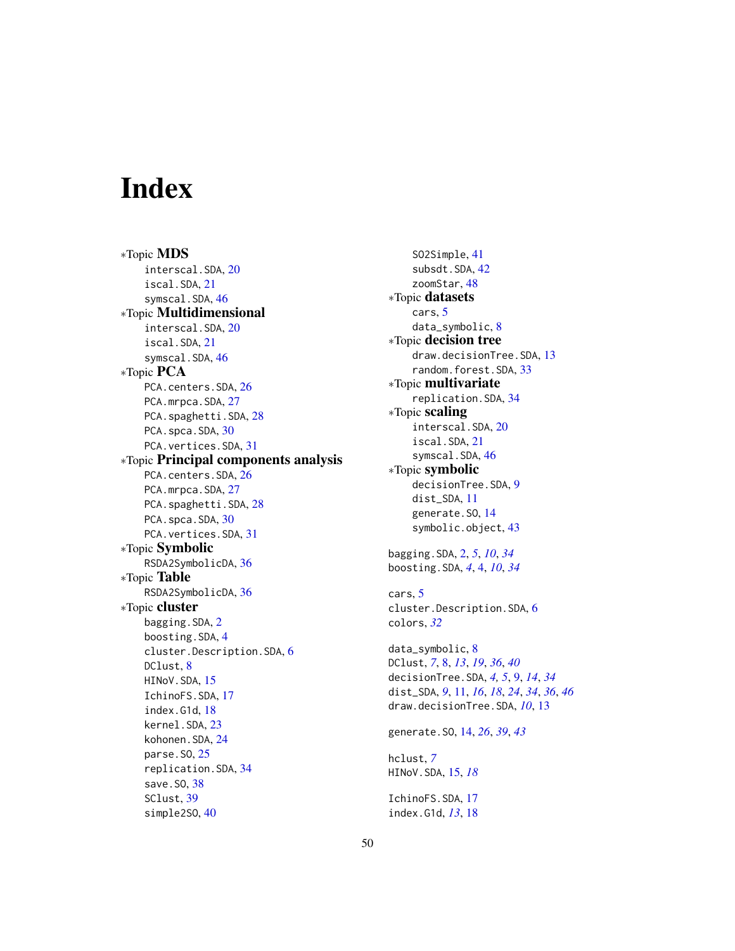# <span id="page-49-0"></span>Index

∗Topic MDS interscal.SDA, [20](#page-19-0) iscal.SDA, [21](#page-20-0) symscal.SDA, [46](#page-45-0) ∗Topic Multidimensional interscal.SDA, [20](#page-19-0) iscal.SDA, [21](#page-20-0) symscal.SDA, [46](#page-45-0) ∗Topic PCA PCA.centers.SDA, [26](#page-25-0) PCA.mrpca.SDA, [27](#page-26-0) PCA.spaghetti.SDA, [28](#page-27-0) PCA.spca.SDA, [30](#page-29-0) PCA.vertices.SDA, [31](#page-30-0) ∗Topic Principal components analysis PCA.centers.SDA, [26](#page-25-0) PCA.mrpca.SDA, [27](#page-26-0) PCA.spaghetti.SDA, [28](#page-27-0) PCA.spca.SDA, [30](#page-29-0) PCA.vertices.SDA, [31](#page-30-0) ∗Topic Symbolic RSDA2SymbolicDA, [36](#page-35-0) ∗Topic Table RSDA2SymbolicDA, [36](#page-35-0) ∗Topic cluster bagging.SDA, [2](#page-1-0) boosting.SDA, [4](#page-3-0) cluster.Description.SDA, [6](#page-5-0) DClust, [8](#page-7-0) HINoV.SDA, [15](#page-14-0) IchinoFS.SDA, [17](#page-16-0) index.G1d, [18](#page-17-0) kernel.SDA, [23](#page-22-0) kohonen.SDA, [24](#page-23-0) parse.SO, [25](#page-24-0) replication.SDA, [34](#page-33-0) save.SO, [38](#page-37-0) SClust, [39](#page-38-0) simple2SO, [40](#page-39-0)

SO2Simple, [41](#page-40-0) subsdt.SDA, [42](#page-41-0) zoomStar, [48](#page-47-0) ∗Topic datasets cars, [5](#page-4-0) data\_symbolic, [8](#page-7-0) ∗Topic decision tree draw.decisionTree.SDA, [13](#page-12-0) random.forest.SDA, [33](#page-32-0) ∗Topic multivariate replication.SDA, [34](#page-33-0) ∗Topic scaling interscal.SDA, [20](#page-19-0) iscal.SDA, [21](#page-20-0) symscal.SDA, [46](#page-45-0) ∗Topic symbolic decisionTree.SDA, [9](#page-8-0) dist\_SDA, [11](#page-10-0) generate.SO, [14](#page-13-0) symbolic.object, [43](#page-42-0) bagging.SDA, [2,](#page-1-0) *[5](#page-4-0)*, *[10](#page-9-0)*, *[34](#page-33-0)* boosting.SDA, *[4](#page-3-0)*, [4,](#page-3-0) *[10](#page-9-0)*, *[34](#page-33-0)* cars, [5](#page-4-0) cluster.Description.SDA, [6](#page-5-0) colors, *[32](#page-31-0)* data\_symbolic, [8](#page-7-0) DClust, *[7](#page-6-0)*, [8,](#page-7-0) *[13](#page-12-0)*, *[19](#page-18-0)*, *[36](#page-35-0)*, *[40](#page-39-0)* decisionTree.SDA, *[4,](#page-3-0) [5](#page-4-0)*, [9,](#page-8-0) *[14](#page-13-0)*, *[34](#page-33-0)* dist\_SDA, *[9](#page-8-0)*, [11,](#page-10-0) *[16](#page-15-0)*, *[18](#page-17-0)*, *[24](#page-23-0)*, *[34](#page-33-0)*, *[36](#page-35-0)*, *[46](#page-45-0)* draw.decisionTree.SDA, *[10](#page-9-0)*, [13](#page-12-0) generate.SO, [14,](#page-13-0) *[26](#page-25-0)*, *[39](#page-38-0)*, *[43](#page-42-0)* hclust, *[7](#page-6-0)* HINoV.SDA, [15,](#page-14-0) *[18](#page-17-0)* IchinoFS.SDA, [17](#page-16-0) index.G1d, *[13](#page-12-0)*, [18](#page-17-0)